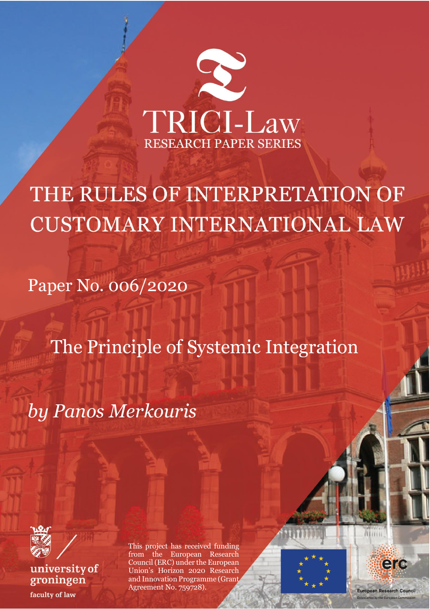

THE RULES OF INTERPRETATION OF **CUSTOMARY INTERNATIONAL LAW** 

Paper No. 006/2020

The Principle of Systemic Integration

*by Panos Merkouris*



university of groningen faculty of law

This project has received funding from the European Research Council (ERC) under the European Union's Horizon 2020 Research and Innovation Programme (Grant Agreement No. 759728).

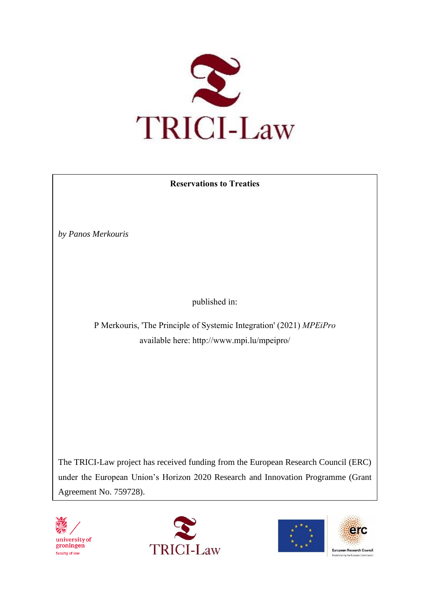

# **Reservations to Treaties**

*by Panos Merkouris*

published in:

P Merkouris, 'The Principle of Systemic Integration' (2021) *MPEiPro*  available here: http://www.mpi.lu/mpeipro/

The TRICI-Law project has received funding from the European Research Council (ERC) under the European Union's Horizon 2020 Research and Innovation Programme (Grant Agreement No. 759728).







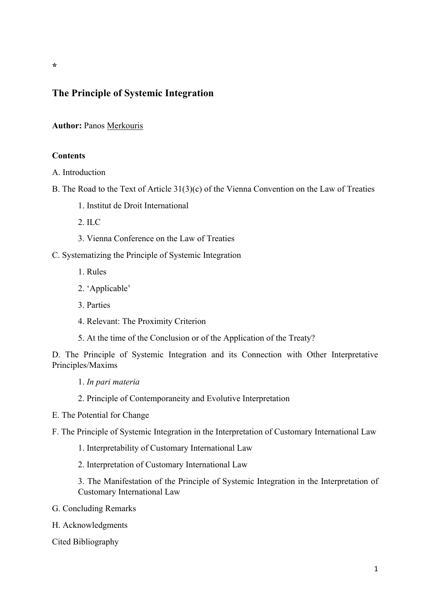# **The Principle of Systemic Integration**

**Author:** Panos Merkouris

# **Contents**

A. Introduction

- B. The Road to the Text of Article 31(3)(c) of the Vienna Convention on the Law of Treaties
	- 1. Institut de Droit International
	- $2 \text{~ILC}$
	- 3. Vienna Conference on the Law of Treaties

C. Systematizing the Principle of Systemic Integration

- 1. Rules
- 2. 'Applicable'
- 3. Parties
- 4. Relevant: The Proximity Criterion
- 5. At the time of the Conclusion or of the Application of the Treaty?

D. The Principle of Systemic Integration and its Connection with Other Interpretative Principles/Maxims

1. *In pari materia*

- 2. Principle of Contemporaneity and Evolutive Interpretation
- E. The Potential for Change

F. The Principle of Systemic Integration in the Interpretation of Customary International Law

- 1. Interpretability of Customary International Law
- 2. Interpretation of Customary International Law

3. The Manifestation of the Principle of Systemic Integration in the Interpretation of Customary International Law

- G. Concluding Remarks
- H. Acknowledgments

Cited Bibliography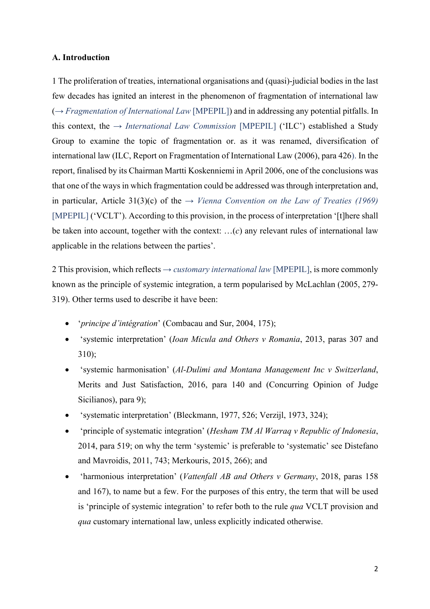# **A. Introduction**

1 The proliferation of treaties, international organisations and (quasi)-judicial bodies in the last few decades has ignited an interest in the phenomenon of fragmentation of international law (→ *Fragmentation of International Law* [MPEPIL]) and in addressing any potential pitfalls. In this context, the → *International Law Commission* [MPEPIL] ('ILC') established a Study Group to examine the topic of fragmentation or. as it was renamed, diversification of international law (ILC, Report on Fragmentation of International Law (2006), para 426). In the report, finalised by its Chairman Martti Koskenniemi in April 2006, one of the conclusions was that one of the ways in which fragmentation could be addressed was through interpretation and, in particular, Article 31(3)(c) of the  $\rightarrow$  *Vienna Convention on the Law of Treaties (1969)* [MPEPIL] ('VCLT'). According to this provision, in the process of interpretation '[t]here shall be taken into account, together with the context: …(*c*) any relevant rules of international law applicable in the relations between the parties'.

2 This provision, which reflects  $\rightarrow$  *customary international law* [MPEPIL], is more commonly known as the principle of systemic integration, a term popularised by McLachlan (2005, 279- 319). Other terms used to describe it have been:

- '*principe d'intégration*' (Combacau and Sur, 2004, 175);
- 'systemic interpretation' (*Ioan Micula and Others v Romania*, 2013, paras 307 and 310);
- 'systemic harmonisation' (*Al-Dulimi and Montana Management Inc v Switzerland*, Merits and Just Satisfaction, 2016, para 140 and (Concurring Opinion of Judge Sicilianos), para 9);
- 'systematic interpretation' (Bleckmann, 1977, 526; Verzijl, 1973, 324);
- 'principle of systematic integration' (*Hesham TM Al Warraq v Republic of Indonesia*, 2014, para 519; on why the term 'systemic' is preferable to 'systematic' see Distefano and Mavroidis, 2011, 743; Merkouris, 2015, 266); and
- 'harmonious interpretation' (*Vattenfall AB and Others v Germany*, 2018, paras 158 and 167), to name but a few. For the purposes of this entry, the term that will be used is 'principle of systemic integration' to refer both to the rule *qua* VCLT provision and *qua* customary international law, unless explicitly indicated otherwise.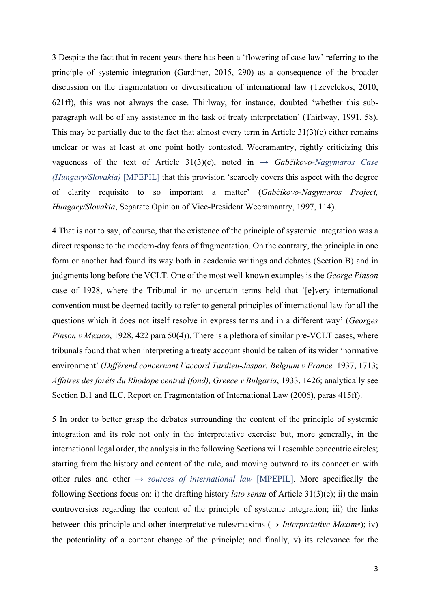3 Despite the fact that in recent years there has been a 'flowering of case law' referring to the principle of systemic integration (Gardiner, 2015, 290) as a consequence of the broader discussion on the fragmentation or diversification of international law (Tzevelekos, 2010, 621ff), this was not always the case. Thirlway, for instance, doubted 'whether this subparagraph will be of any assistance in the task of treaty interpretation' (Thirlway, 1991, 58). This may be partially due to the fact that almost every term in Article  $31(3)(c)$  either remains unclear or was at least at one point hotly contested. Weeramantry, rightly criticizing this vagueness of the text of Article 31(3)(c), noted in → *Gabčikovo-Nagymaros Case (Hungary/Slovakia)* [MPEPIL] that this provision 'scarcely covers this aspect with the degree of clarity requisite to so important a matter' (*Gabčíkovo-Nagymaros Project, Hungary/Slovakia*, Separate Opinion of Vice-President Weeramantry, 1997, 114).

4 That is not to say, of course, that the existence of the principle of systemic integration was a direct response to the modern-day fears of fragmentation. On the contrary, the principle in one form or another had found its way both in academic writings and debates (Section B) and in judgments long before the VCLT. One of the most well-known examples is the *George Pinson*  case of 1928, where the Tribunal in no uncertain terms held that '[e]very international convention must be deemed tacitly to refer to general principles of international law for all the questions which it does not itself resolve in express terms and in a different way' (*Georges Pinson v Mexico*, 1928, 422 para 50(4)). There is a plethora of similar pre-VCLT cases, where tribunals found that when interpreting a treaty account should be taken of its wider 'normative environment' (*Différend concernant l'accord Tardieu-Jaspar, Belgium v France, 1937, 1713*; *Affaires des forêts du Rhodope central (fond), Greece v Bulgaria*, 1933, 1426; analytically see Section B.1 and ILC, Report on Fragmentation of International Law (2006), paras 415ff).

5 In order to better grasp the debates surrounding the content of the principle of systemic integration and its role not only in the interpretative exercise but, more generally, in the international legal order, the analysis in the following Sections will resemble concentric circles; starting from the history and content of the rule, and moving outward to its connection with other rules and other  $\rightarrow$  *sources of international law* [MPEPIL]. More specifically the following Sections focus on: i) the drafting history *lato sensu* of Article 31(3)(c); ii) the main controversies regarding the content of the principle of systemic integration; iii) the links between this principle and other interpretative rules/maxims  $(\rightarrow$  *Interpretative Maxims*); iv) the potentiality of a content change of the principle; and finally, v) its relevance for the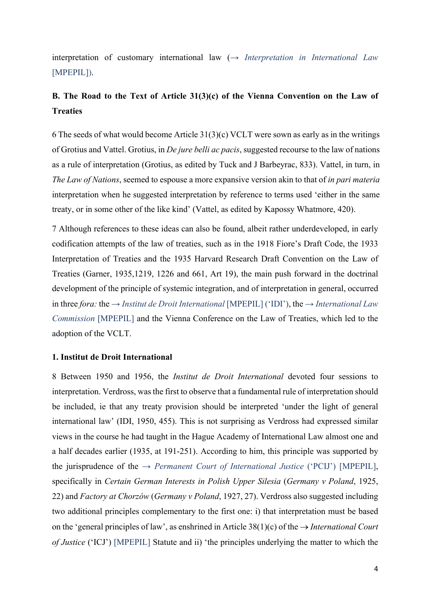interpretation of customary international law (→ *Interpretation in International Law* [MPEPIL]).

# **B. The Road to the Text of Article 31(3)(c) of the Vienna Convention on the Law of Treaties**

6 The seeds of what would become Article 31(3)(c) VCLT were sown as early as in the writings of Grotius and Vattel. Grotius, in *De jure belli ac pacis*, suggested recourse to the law of nations as a rule of interpretation (Grotius, as edited by Tuck and J Barbeyrac, 833). Vattel, in turn, in *The Law of Nations*, seemed to espouse a more expansive version akin to that of *in pari materia* interpretation when he suggested interpretation by reference to terms used 'either in the same treaty, or in some other of the like kind' (Vattel, as edited by Kapossy Whatmore, 420).

7 Although references to these ideas can also be found, albeit rather underdeveloped, in early codification attempts of the law of treaties, such as in the 1918 Fiore's Draft Code, the 1933 Interpretation of Treaties and the 1935 Harvard Research Draft Convention on the Law of Treaties (Garner, 1935,1219, 1226 and 661, Art 19), the main push forward in the doctrinal development of the principle of systemic integration, and of interpretation in general, occurred in three *fora*: the  $\rightarrow$  *Institut de Droit International* [MPEPIL] ('IDI'), the  $\rightarrow$  *International Law Commission* [MPEPIL] and the Vienna Conference on the Law of Treaties, which led to the adoption of the VCLT.

#### **1. Institut de Droit International**

8 Between 1950 and 1956, the *Institut de Droit International* devoted four sessions to interpretation. Verdross, was the first to observe that a fundamental rule of interpretation should be included, ie that any treaty provision should be interpreted 'under the light of general international law' (IDI, 1950, 455). This is not surprising as Verdross had expressed similar views in the course he had taught in the Hague Academy of International Law almost one and a half decades earlier (1935, at 191-251). According to him, this principle was supported by the jurisprudence of the  $\rightarrow$  *Permanent Court of International Justice* ('PCIJ') [MPEPIL], specifically in *Certain German Interests in Polish Upper Silesia* (*Germany v Poland*, 1925, 22) and *Factory at Chorzów* (*Germany v Poland*, 1927, 27). Verdross also suggested including two additional principles complementary to the first one: i) that interpretation must be based on the 'general principles of law', as enshrined in Article  $38(1)(c)$  of the  $\rightarrow$  *International Court of Justice* ('ICJ') [MPEPIL] Statute and ii) 'the principles underlying the matter to which the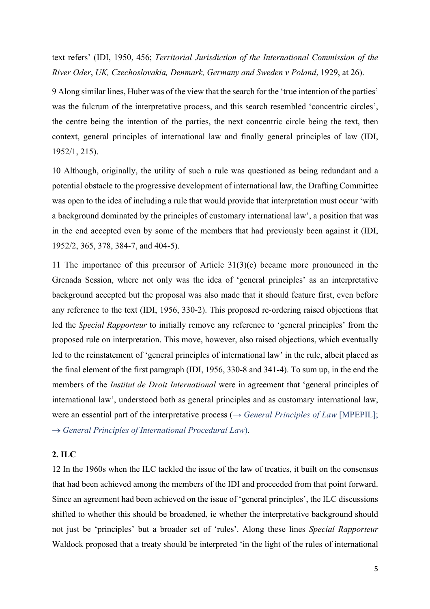text refers' (IDI, 1950, 456; *Territorial Jurisdiction of the International Commission of the River Oder*, *UK, Czechoslovakia, Denmark, Germany and Sweden v Poland*, 1929, at 26).

9 Along similar lines, Huber was of the view that the search for the 'true intention of the parties' was the fulcrum of the interpretative process, and this search resembled 'concentric circles', the centre being the intention of the parties, the next concentric circle being the text, then context, general principles of international law and finally general principles of law (IDI, 1952/1, 215).

10 Although, originally, the utility of such a rule was questioned as being redundant and a potential obstacle to the progressive development of international law, the Drafting Committee was open to the idea of including a rule that would provide that interpretation must occur 'with a background dominated by the principles of customary international law', a position that was in the end accepted even by some of the members that had previously been against it (IDI, 1952/2, 365, 378, 384-7, and 404-5).

11 The importance of this precursor of Article 31(3)(c) became more pronounced in the Grenada Session, where not only was the idea of 'general principles' as an interpretative background accepted but the proposal was also made that it should feature first, even before any reference to the text (IDI, 1956, 330-2). This proposed re-ordering raised objections that led the *Special Rapporteur* to initially remove any reference to 'general principles' from the proposed rule on interpretation. This move, however, also raised objections, which eventually led to the reinstatement of 'general principles of international law' in the rule, albeit placed as the final element of the first paragraph (IDI, 1956, 330-8 and 341-4). To sum up, in the end the members of the *Institut de Droit International* were in agreement that 'general principles of international law', understood both as general principles and as customary international law, were an essential part of the interpretative process (→ *General Principles of Law* [MPEPIL]; ® *General Principles of International Procedural Law*).

### **2. ILC**

12 In the 1960s when the ILC tackled the issue of the law of treaties, it built on the consensus that had been achieved among the members of the IDI and proceeded from that point forward. Since an agreement had been achieved on the issue of 'general principles', the ILC discussions shifted to whether this should be broadened, ie whether the interpretative background should not just be 'principles' but a broader set of 'rules'. Along these lines *Special Rapporteur* Waldock proposed that a treaty should be interpreted 'in the light of the rules of international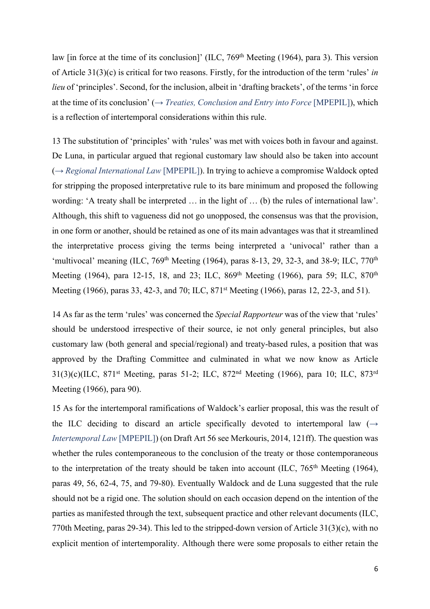law [in force at the time of its conclusion]' (ILC, 769<sup>th</sup> Meeting (1964), para 3). This version of Article 31(3)(c) is critical for two reasons. Firstly, for the introduction of the term 'rules' *in lieu* of 'principles'. Second, for the inclusion, albeit in 'drafting brackets', of the terms 'in force at the time of its conclusion' (→ *Treaties, Conclusion and Entry into Force* [MPEPIL]), which is a reflection of intertemporal considerations within this rule.

13 The substitution of 'principles' with 'rules' was met with voices both in favour and against. De Luna, in particular argued that regional customary law should also be taken into account (→ *Regional International Law* [MPEPIL]). In trying to achieve a compromise Waldock opted for stripping the proposed interpretative rule to its bare minimum and proposed the following wording: 'A treaty shall be interpreted … in the light of … (b) the rules of international law'. Although, this shift to vagueness did not go unopposed, the consensus was that the provision, in one form or another, should be retained as one of its main advantages was that it streamlined the interpretative process giving the terms being interpreted a 'univocal' rather than a 'multivocal' meaning (ILC,  $769<sup>th</sup>$  Meeting (1964), paras 8-13, 29, 32-3, and 38-9; ILC,  $770<sup>th</sup>$ Meeting (1964), para 12-15, 18, and 23; ILC, 869<sup>th</sup> Meeting (1966), para 59; ILC, 870<sup>th</sup> Meeting (1966), paras 33, 42-3, and 70; ILC, 871<sup>st</sup> Meeting (1966), paras 12, 22-3, and 51).

14 As far as the term 'rules' was concerned the *Special Rapporteur* was of the view that 'rules' should be understood irrespective of their source, ie not only general principles, but also customary law (both general and special/regional) and treaty-based rules, a position that was approved by the Drafting Committee and culminated in what we now know as Article 31(3)(c)(ILC, 871st Meeting, paras 51-2; ILC, 872nd Meeting (1966), para 10; ILC, 873rd Meeting (1966), para 90).

15 As for the intertemporal ramifications of Waldock's earlier proposal, this was the result of the ILC deciding to discard an article specifically devoted to intertemporal law  $(\rightarrow$ *Intertemporal Law* [MPEPIL]) (on Draft Art 56 see Merkouris, 2014, 121ff). The question was whether the rules contemporaneous to the conclusion of the treaty or those contemporaneous to the interpretation of the treaty should be taken into account (ILC,  $765<sup>th</sup>$  Meeting (1964), paras 49, 56, 62-4, 75, and 79-80). Eventually Waldock and de Luna suggested that the rule should not be a rigid one. The solution should on each occasion depend on the intention of the parties as manifested through the text, subsequent practice and other relevant documents (ILC, 770th Meeting, paras 29-34). This led to the stripped-down version of Article 31(3)(c), with no explicit mention of intertemporality. Although there were some proposals to either retain the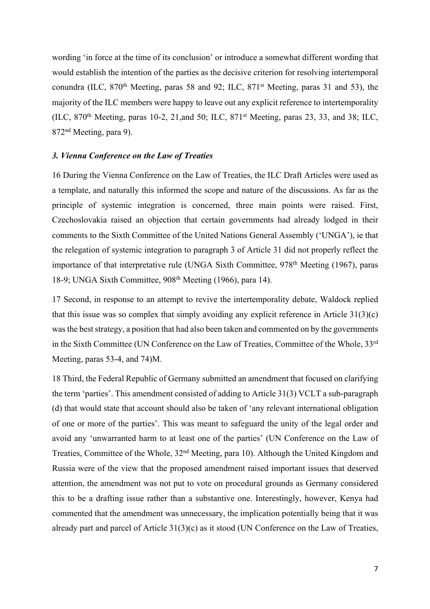wording 'in force at the time of its conclusion' or introduce a somewhat different wording that would establish the intention of the parties as the decisive criterion for resolving intertemporal conundra (ILC,  $870<sup>th</sup>$  Meeting, paras 58 and 92; ILC,  $871<sup>st</sup>$  Meeting, paras 31 and 53), the majority of the ILC members were happy to leave out any explicit reference to intertemporality (ILC,  $870<sup>th</sup>$  Meeting, paras 10-2, 21, and 50; ILC,  $871<sup>st</sup>$  Meeting, paras 23, 33, and 38; ILC, 872nd Meeting, para 9).

### *3. Vienna Conference on the Law of Treaties*

16 During the Vienna Conference on the Law of Treaties, the ILC Draft Articles were used as a template, and naturally this informed the scope and nature of the discussions. As far as the principle of systemic integration is concerned, three main points were raised. First, Czechoslovakia raised an objection that certain governments had already lodged in their comments to the Sixth Committee of the United Nations General Assembly ('UNGA'), ie that the relegation of systemic integration to paragraph 3 of Article 31 did not properly reflect the importance of that interpretative rule (UNGA Sixth Committee, 978<sup>th</sup> Meeting (1967), paras 18-9; UNGA Sixth Committee, 908th Meeting (1966), para 14).

17 Second, in response to an attempt to revive the intertemporality debate, Waldock replied that this issue was so complex that simply avoiding any explicit reference in Article  $31(3)(c)$ was the best strategy, a position that had also been taken and commented on by the governments in the Sixth Committee (UN Conference on the Law of Treaties, Committee of the Whole, 33rd Meeting, paras 53-4, and 74)M.

18 Third, the Federal Republic of Germany submitted an amendment that focused on clarifying the term 'parties'. This amendment consisted of adding to Article 31(3) VCLT a sub-paragraph (d) that would state that account should also be taken of 'any relevant international obligation of one or more of the parties'. This was meant to safeguard the unity of the legal order and avoid any 'unwarranted harm to at least one of the parties' (UN Conference on the Law of Treaties, Committee of the Whole, 32nd Meeting, para 10). Although the United Kingdom and Russia were of the view that the proposed amendment raised important issues that deserved attention, the amendment was not put to vote on procedural grounds as Germany considered this to be a drafting issue rather than a substantive one. Interestingly, however, Kenya had commented that the amendment was unnecessary, the implication potentially being that it was already part and parcel of Article 31(3)(c) as it stood (UN Conference on the Law of Treaties,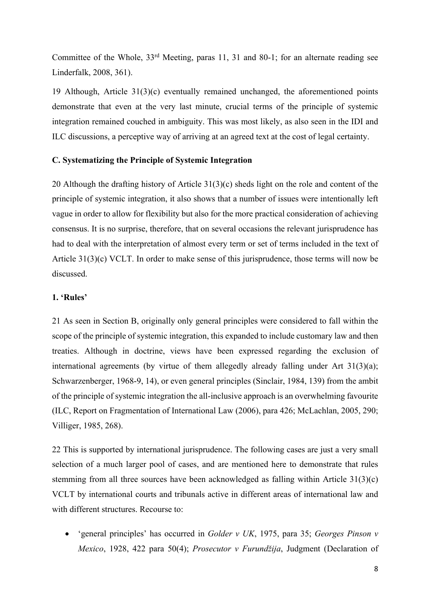Committee of the Whole, 33rd Meeting, paras 11, 31 and 80-1; for an alternate reading see Linderfalk, 2008, 361).

19 Although, Article 31(3)(c) eventually remained unchanged, the aforementioned points demonstrate that even at the very last minute, crucial terms of the principle of systemic integration remained couched in ambiguity. This was most likely, as also seen in the IDI and ILC discussions, a perceptive way of arriving at an agreed text at the cost of legal certainty.

### **C. Systematizing the Principle of Systemic Integration**

20 Although the drafting history of Article 31(3)(c) sheds light on the role and content of the principle of systemic integration, it also shows that a number of issues were intentionally left vague in order to allow for flexibility but also for the more practical consideration of achieving consensus. It is no surprise, therefore, that on several occasions the relevant jurisprudence has had to deal with the interpretation of almost every term or set of terms included in the text of Article 31(3)(c) VCLT. In order to make sense of this jurisprudence, those terms will now be discussed.

# **1. 'Rules'**

21 As seen in Section B, originally only general principles were considered to fall within the scope of the principle of systemic integration, this expanded to include customary law and then treaties. Although in doctrine, views have been expressed regarding the exclusion of international agreements (by virtue of them allegedly already falling under Art 31(3)(a); Schwarzenberger, 1968-9, 14), or even general principles (Sinclair, 1984, 139) from the ambit of the principle of systemic integration the all-inclusive approach is an overwhelming favourite (ILC, Report on Fragmentation of International Law (2006), para 426; McLachlan, 2005, 290; Villiger, 1985, 268).

22 This is supported by international jurisprudence. The following cases are just a very small selection of a much larger pool of cases, and are mentioned here to demonstrate that rules stemming from all three sources have been acknowledged as falling within Article 31(3)(c) VCLT by international courts and tribunals active in different areas of international law and with different structures. Recourse to:

• 'general principles' has occurred in *Golder v UK*, 1975, para 35; *Georges Pinson v Mexico*, 1928, 422 para 50(4); *Prosecutor v Furundžija*, Judgment (Declaration of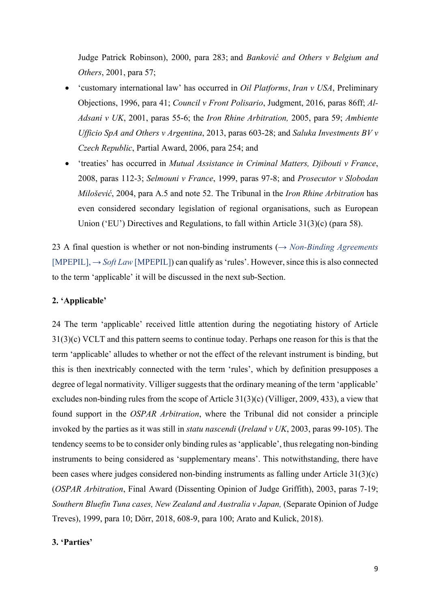Judge Patrick Robinson), 2000, para 283; and *Banković and Others v Belgium and Others*, 2001, para 57;

- 'customary international law' has occurred in *Oil Platforms*, *Iran v USA*, Preliminary Objections, 1996, para 41; *Council v Front Polisario*, Judgment, 2016, paras 86ff; *Al-Adsani v UK*, 2001, paras 55-6; the *Iron Rhine Arbitration,* 2005, para 59; *Ambiente Ufficio SpA and Others v Argentina*, 2013, paras 603-28; and *Saluka Investments BV v Czech Republic*, Partial Award, 2006, para 254; and
- 'treaties' has occurred in *Mutual Assistance in Criminal Matters, Djibouti v France*, 2008, paras 112-3; *Selmouni v France*, 1999, paras 97-8; and *Prosecutor v Slobodan Milošević*, 2004, para A.5 and note 52. The Tribunal in the *Iron Rhine Arbitration* has even considered secondary legislation of regional organisations, such as European Union ('EU') Directives and Regulations, to fall within Article 31(3)(c) (para 58).

23 A final question is whether or not non-binding instruments (→ *Non-Binding Agreements*  $[MPE PIL]$ ,  $\rightarrow$  *Soft Law* [MPEPIL]) can qualify as 'rules'. However, since this is also connected to the term 'applicable' it will be discussed in the next sub-Section.

# **2. 'Applicable'**

24 The term 'applicable' received little attention during the negotiating history of Article 31(3)(c) VCLT and this pattern seems to continue today. Perhaps one reason for this is that the term 'applicable' alludes to whether or not the effect of the relevant instrument is binding, but this is then inextricably connected with the term 'rules', which by definition presupposes a degree of legal normativity. Villiger suggests that the ordinary meaning of the term 'applicable' excludes non-binding rules from the scope of Article 31(3)(c) (Villiger, 2009, 433), a view that found support in the *OSPAR Arbitration*, where the Tribunal did not consider a principle invoked by the parties as it was still in *statu nascendi* (*Ireland v UK*, 2003, paras 99-105). The tendency seems to be to consider only binding rules as 'applicable', thus relegating non-binding instruments to being considered as 'supplementary means'. This notwithstanding, there have been cases where judges considered non-binding instruments as falling under Article 31(3)(c) (*OSPAR Arbitration*, Final Award (Dissenting Opinion of Judge Griffith), 2003, paras 7-19; *Southern Bluefin Tuna cases, New Zealand and Australia v Japan,* (Separate Opinion of Judge Treves), 1999, para 10; Dörr, 2018, 608-9, para 100; Arato and Kulick, 2018).

#### **3. 'Parties'**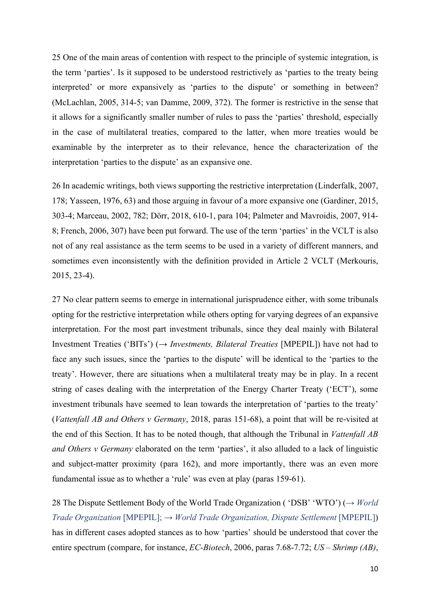25 One of the main areas of contention with respect to the principle of systemic integration, is the term 'parties'. Is it supposed to be understood restrictively as 'parties to the treaty being interpreted' or more expansively as 'parties to the dispute' or something in between? (McLachlan, 2005, 314-5; van Damme, 2009, 372). The former is restrictive in the sense that it allows for a significantly smaller number of rules to pass the 'parties' threshold, especially in the case of multilateral treaties, compared to the latter, when more treaties would be examinable by the interpreter as to their relevance, hence the characterization of the interpretation 'parties to the dispute' as an expansive one.

26 In academic writings, both views supporting the restrictive interpretation (Linderfalk, 2007, 178; Yasseen, 1976, 63) and those arguing in favour of a more expansive one (Gardiner, 2015, 303-4; Marceau, 2002, 782; Dörr, 2018, 610-1, para 104; Palmeter and Mavroidis, 2007, 914- 8; French, 2006, 307) have been put forward. The use of the term 'parties' in the VCLT is also not of any real assistance as the term seems to be used in a variety of different manners, and sometimes even inconsistently with the definition provided in Article 2 VCLT (Merkouris, 2015, 23-4).

27 No clear pattern seems to emerge in international jurisprudence either, with some tribunals opting for the restrictive interpretation while others opting for varying degrees of an expansive interpretation. For the most part investment tribunals, since they deal mainly with Bilateral Investment Treaties ('BITs') (→ *Investments, Bilateral Treaties* [MPEPIL]) have not had to face any such issues, since the 'parties to the dispute' will be identical to the 'parties to the treaty'. However, there are situations when a multilateral treaty may be in play. In a recent string of cases dealing with the interpretation of the Energy Charter Treaty ('ECT'), some investment tribunals have seemed to lean towards the interpretation of 'parties to the treaty' (*Vattenfall AB and Others v Germany*, 2018, paras 151-68), a point that will be re-visited at the end of this Section. It has to be noted though, that although the Tribunal in *Vattenfall AB and Others v Germany* elaborated on the term 'parties', it also alluded to a lack of linguistic and subject-matter proximity (para 162), and more importantly, there was an even more fundamental issue as to whether a 'rule' was even at play (paras 159-61).

28 The Dispute Settlement Body of the World Trade Organization ( 'DSB' 'WTO') (→ *World Trade Organization* [MPEPIL]; → *World Trade Organization, Dispute Settlement* [MPEPIL]) has in different cases adopted stances as to how 'parties' should be understood that cover the entire spectrum (compare, for instance, *EC-Biotech*, 2006, paras 7.68-7.72; *US – Shrimp (AB)*,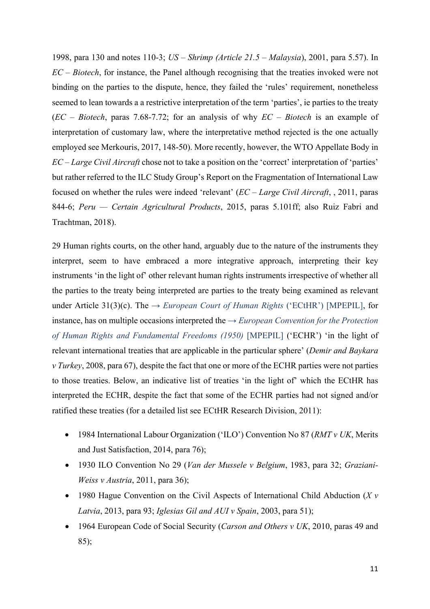1998, para 130 and notes 110-3; *US – Shrimp (Article 21.5 – Malaysia*), 2001, para 5.57). In *EC – Biotech*, for instance, the Panel although recognising that the treaties invoked were not binding on the parties to the dispute, hence, they failed the 'rules' requirement, nonetheless seemed to lean towards a a restrictive interpretation of the term 'parties', ie parties to the treaty (*EC – Biotech*, paras 7.68-7.72; for an analysis of why *EC – Biotech* is an example of interpretation of customary law, where the interpretative method rejected is the one actually employed see Merkouris, 2017, 148-50). More recently, however, the WTO Appellate Body in *EC – Large Civil Aircraft* chose not to take a position on the 'correct' interpretation of 'parties' but rather referred to the ILC Study Group's Report on the Fragmentation of International Law focused on whether the rules were indeed 'relevant' (*EC – Large Civil Aircraft*, , 2011, paras 844-6; *Peru — Certain Agricultural Products*, 2015, paras 5.101ff; also Ruiz Fabri and Trachtman, 2018).

29 Human rights courts, on the other hand, arguably due to the nature of the instruments they interpret, seem to have embraced a more integrative approach, interpreting their key instruments 'in the light of' other relevant human rights instruments irrespective of whether all the parties to the treaty being interpreted are parties to the treaty being examined as relevant under Article 31(3)(c). The  $\rightarrow$  *European Court of Human Rights* ('ECtHR') [MPEPIL], for instance, has on multiple occasions interpreted the → *European Convention for the Protection of Human Rights and Fundamental Freedoms (1950)* [MPEPIL] ('ECHR') 'in the light of relevant international treaties that are applicable in the particular sphere' (*Demir and Baykara v Turkey*, 2008, para 67), despite the fact that one or more of the ECHR parties were not parties to those treaties. Below, an indicative list of treaties 'in the light of' which the ECtHR has interpreted the ECHR, despite the fact that some of the ECHR parties had not signed and/or ratified these treaties (for a detailed list see ECtHR Research Division, 2011):

- 1984 International Labour Organization ('ILO') Convention No 87 (*RMT v UK*, Merits and Just Satisfaction, 2014, para 76);
- 1930 ILO Convention No 29 (*Van der Mussele v Belgium*, 1983, para 32; *Graziani-Weiss v Austria*, 2011, para 36);
- 1980 Hague Convention on the Civil Aspects of International Child Abduction (*X v Latvia*, 2013, para 93; *Iglesias Gil and AUI v Spain*, 2003, para 51);
- 1964 European Code of Social Security (*Carson and Others v UK*, 2010, paras 49 and 85);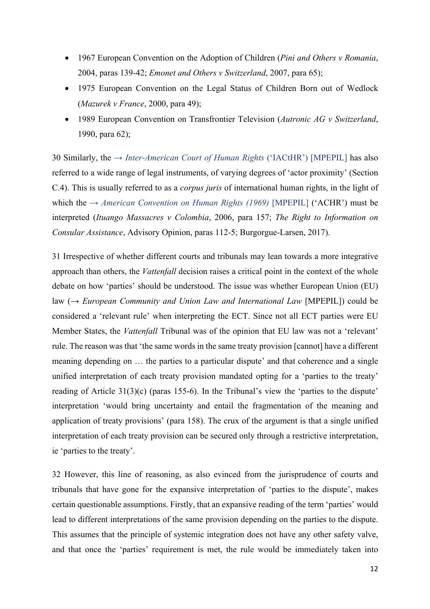- 1967 European Convention on the Adoption of Children (*Pini and Others v Romania*, 2004, paras 139-42; *Emonet and Others v Switzerland*, 2007, para 65);
- 1975 European Convention on the Legal Status of Children Born out of Wedlock (*Mazurek v France*, 2000, para 49);
- 1989 European Convention on Transfrontier Television (*Autronic AG v Switzerland*, 1990, para 62);

30 Similarly, the → *Inter-American Court of Human Rights* ('IACtHR') [MPEPIL] has also referred to a wide range of legal instruments, of varying degrees of 'actor proximity' (Section C.4). This is usually referred to as a *corpus juris* of international human rights, in the light of which the → *American Convention on Human Rights (1969)* [MPEPIL] ('ACHR') must be interpreted (*Ituango Massacres v Colombia*, 2006, para 157; *The Right to Information on Consular Assistance*, Advisory Opinion, paras 112-5; Burgorgue-Larsen, 2017).

31 Irrespective of whether different courts and tribunals may lean towards a more integrative approach than others, the *Vattenfall* decision raises a critical point in the context of the whole debate on how 'parties' should be understood. The issue was whether European Union (EU) law (→ *European Community and Union Law and International Law* [MPEPIL]) could be considered a 'relevant rule' when interpreting the ECT. Since not all ECT parties were EU Member States, the *Vattenfall* Tribunal was of the opinion that EU law was not a 'relevant' rule. The reason was that 'the same words in the same treaty provision [cannot] have a different meaning depending on … the parties to a particular dispute' and that coherence and a single unified interpretation of each treaty provision mandated opting for a 'parties to the treaty' reading of Article 31(3)(c) (paras 155-6). In the Tribunal's view the 'parties to the dispute' interpretation 'would bring uncertainty and entail the fragmentation of the meaning and application of treaty provisions' (para 158). The crux of the argument is that a single unified interpretation of each treaty provision can be secured only through a restrictive interpretation, ie 'parties to the treaty'.

32 However, this line of reasoning, as also evinced from the jurisprudence of courts and tribunals that have gone for the expansive interpretation of 'parties to the dispute', makes certain questionable assumptions. Firstly, that an expansive reading of the term 'parties' would lead to different interpretations of the same provision depending on the parties to the dispute. This assumes that the principle of systemic integration does not have any other safety valve, and that once the 'parties' requirement is met, the rule would be immediately taken into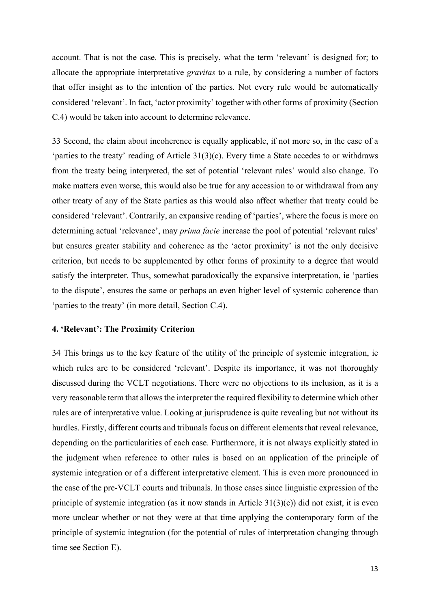account. That is not the case. This is precisely, what the term 'relevant' is designed for; to allocate the appropriate interpretative *gravitas* to a rule, by considering a number of factors that offer insight as to the intention of the parties. Not every rule would be automatically considered 'relevant'. In fact, 'actor proximity' together with other forms of proximity (Section C.4) would be taken into account to determine relevance.

33 Second, the claim about incoherence is equally applicable, if not more so, in the case of a 'parties to the treaty' reading of Article 31(3)(c). Every time a State accedes to or withdraws from the treaty being interpreted, the set of potential 'relevant rules' would also change. To make matters even worse, this would also be true for any accession to or withdrawal from any other treaty of any of the State parties as this would also affect whether that treaty could be considered 'relevant'. Contrarily, an expansive reading of 'parties', where the focus is more on determining actual 'relevance', may *prima facie* increase the pool of potential 'relevant rules' but ensures greater stability and coherence as the 'actor proximity' is not the only decisive criterion, but needs to be supplemented by other forms of proximity to a degree that would satisfy the interpreter. Thus, somewhat paradoxically the expansive interpretation, ie 'parties to the dispute', ensures the same or perhaps an even higher level of systemic coherence than 'parties to the treaty' (in more detail, Section C.4).

### **4. 'Relevant': The Proximity Criterion**

34 This brings us to the key feature of the utility of the principle of systemic integration, ie which rules are to be considered 'relevant'. Despite its importance, it was not thoroughly discussed during the VCLT negotiations. There were no objections to its inclusion, as it is a very reasonable term that allows the interpreter the required flexibility to determine which other rules are of interpretative value. Looking at jurisprudence is quite revealing but not without its hurdles. Firstly, different courts and tribunals focus on different elements that reveal relevance, depending on the particularities of each case. Furthermore, it is not always explicitly stated in the judgment when reference to other rules is based on an application of the principle of systemic integration or of a different interpretative element. This is even more pronounced in the case of the pre-VCLT courts and tribunals. In those cases since linguistic expression of the principle of systemic integration (as it now stands in Article 31(3)(c)) did not exist, it is even more unclear whether or not they were at that time applying the contemporary form of the principle of systemic integration (for the potential of rules of interpretation changing through time see Section E).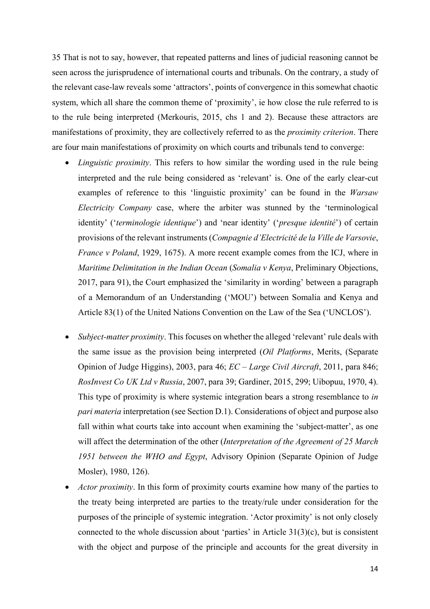35 That is not to say, however, that repeated patterns and lines of judicial reasoning cannot be seen across the jurisprudence of international courts and tribunals. On the contrary, a study of the relevant case-law reveals some 'attractors', points of convergence in this somewhat chaotic system, which all share the common theme of 'proximity', ie how close the rule referred to is to the rule being interpreted (Merkouris, 2015, chs 1 and 2). Because these attractors are manifestations of proximity, they are collectively referred to as the *proximity criterion*. There are four main manifestations of proximity on which courts and tribunals tend to converge:

- *Linguistic proximity*. This refers to how similar the wording used in the rule being interpreted and the rule being considered as 'relevant' is. One of the early clear-cut examples of reference to this 'linguistic proximity' can be found in the *Warsaw Electricity Company* case, where the arbiter was stunned by the 'terminological identity' ('*terminologie identique*') and 'near identity' ('*presque identité*') of certain provisions of the relevant instruments (*Compagnie d'Electricité de la Ville de Varsovie*, *France v Poland*, 1929, 1675). A more recent example comes from the ICJ, where in *Maritime Delimitation in the Indian Ocean* (*Somalia v Kenya*, Preliminary Objections, 2017, para 91), the Court emphasized the 'similarity in wording' between a paragraph of a Memorandum of an Understanding ('MOU') between Somalia and Kenya and Article 83(1) of the United Nations Convention on the Law of the Sea ('UNCLOS').
- *Subject-matter proximity*. This focuses on whether the alleged 'relevant' rule deals with the same issue as the provision being interpreted (*Oil Platforms*, Merits, (Separate Opinion of Judge Higgins), 2003, para 46; *EC – Large Civil Aircraft*, 2011, para 846; *RosInvest Co UK Ltd v Russia*, 2007, para 39; Gardiner, 2015, 299; Uibopuu, 1970, 4). This type of proximity is where systemic integration bears a strong resemblance to *in pari materia* interpretation (see Section D.1). Considerations of object and purpose also fall within what courts take into account when examining the 'subject-matter', as one will affect the determination of the other (*Interpretation of the Agreement of 25 March 1951 between the WHO and Egypt*, Advisory Opinion (Separate Opinion of Judge Mosler), 1980, 126).
- *Actor proximity*. In this form of proximity courts examine how many of the parties to the treaty being interpreted are parties to the treaty/rule under consideration for the purposes of the principle of systemic integration. 'Actor proximity' is not only closely connected to the whole discussion about 'parties' in Article 31(3)(c), but is consistent with the object and purpose of the principle and accounts for the great diversity in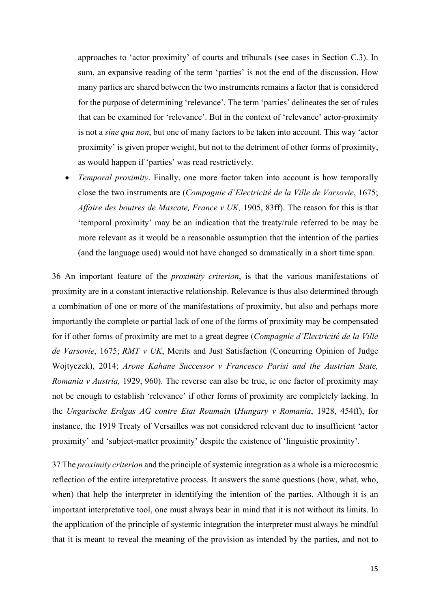approaches to 'actor proximity' of courts and tribunals (see cases in Section C.3). In sum, an expansive reading of the term 'parties' is not the end of the discussion. How many parties are shared between the two instruments remains a factor that is considered for the purpose of determining 'relevance'. The term 'parties' delineates the set of rules that can be examined for 'relevance'. But in the context of 'relevance' actor-proximity is not a *sine qua non*, but one of many factors to be taken into account. This way 'actor proximity' is given proper weight, but not to the detriment of other forms of proximity, as would happen if 'parties' was read restrictively.

• *Temporal proximity*. Finally, one more factor taken into account is how temporally close the two instruments are (*Compagnie d'Electricité de la Ville de Varsovie*, 1675; *Affaire des boutres de Mascate, France v UK,* 1905, 83ff). The reason for this is that 'temporal proximity' may be an indication that the treaty/rule referred to be may be more relevant as it would be a reasonable assumption that the intention of the parties (and the language used) would not have changed so dramatically in a short time span.

36 An important feature of the *proximity criterion*, is that the various manifestations of proximity are in a constant interactive relationship. Relevance is thus also determined through a combination of one or more of the manifestations of proximity, but also and perhaps more importantly the complete or partial lack of one of the forms of proximity may be compensated for if other forms of proximity are met to a great degree (*Compagnie d'Electricité de la Ville de Varsovie*, 1675; *RMT v UK*, Merits and Just Satisfaction (Concurring Opinion of Judge Wojtyczek), 2014; *Arone Kahane Successor v Francesco Parisi and the Austrian State, Romania v Austria,* 1929, 960). The reverse can also be true, ie one factor of proximity may not be enough to establish 'relevance' if other forms of proximity are completely lacking. In the *Ungarische Erdgas AG contre Etat Roumain* (*Hungary v Romania*, 1928, 454ff), for instance, the 1919 Treaty of Versailles was not considered relevant due to insufficient 'actor proximity' and 'subject-matter proximity' despite the existence of 'linguistic proximity'.

37 The *proximity criterion* and the principle of systemic integration as a whole is a microcosmic reflection of the entire interpretative process. It answers the same questions (how, what, who, when) that help the interpreter in identifying the intention of the parties. Although it is an important interpretative tool, one must always bear in mind that it is not without its limits. In the application of the principle of systemic integration the interpreter must always be mindful that it is meant to reveal the meaning of the provision as intended by the parties, and not to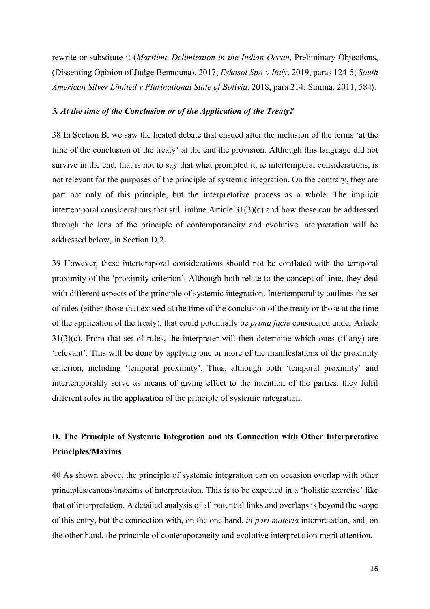rewrite or substitute it (*Maritime Delimitation in the Indian Ocean*, Preliminary Objections, (Dissenting Opinion of Judge Bennouna), 2017; *Eskosol SpA v Italy*, 2019, paras 124-5; *South American Silver Limited v Plurinational State of Bolivia*, 2018, para 214; Simma, 2011, 584).

### *5. At the time of the Conclusion or of the Application of the Treaty?*

38 In Section B, we saw the heated debate that ensued after the inclusion of the terms 'at the time of the conclusion of the treaty' at the end the provision. Although this language did not survive in the end, that is not to say that what prompted it, ie intertemporal considerations, is not relevant for the purposes of the principle of systemic integration. On the contrary, they are part not only of this principle, but the interpretative process as a whole. The implicit intertemporal considerations that still imbue Article 31(3)(c) and how these can be addressed through the lens of the principle of contemporaneity and evolutive interpretation will be addressed below, in Section D.2.

39 However, these intertemporal considerations should not be conflated with the temporal proximity of the 'proximity criterion'. Although both relate to the concept of time, they deal with different aspects of the principle of systemic integration. Intertemporality outlines the set of rules (either those that existed at the time of the conclusion of the treaty or those at the time of the application of the treaty), that could potentially be *prima facie* considered under Article  $31(3)(c)$ . From that set of rules, the interpreter will then determine which ones (if any) are 'relevant'. This will be done by applying one or more of the manifestations of the proximity criterion, including 'temporal proximity'. Thus, although both 'temporal proximity' and intertemporality serve as means of giving effect to the intention of the parties, they fulfil different roles in the application of the principle of systemic integration.

# **D. The Principle of Systemic Integration and its Connection with Other Interpretative Principles/Maxims**

40 As shown above, the principle of systemic integration can on occasion overlap with other principles/canons/maxims of interpretation. This is to be expected in a 'holistic exercise' like that of interpretation. A detailed analysis of all potential links and overlaps is beyond the scope of this entry, but the connection with, on the one hand, *in pari materia* interpretation, and, on the other hand, the principle of contemporaneity and evolutive interpretation merit attention.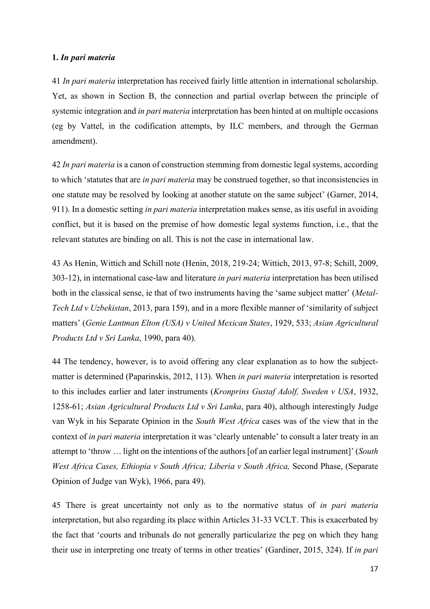### **1.** *In pari materia*

41 *In pari materia* interpretation has received fairly little attention in international scholarship. Yet, as shown in Section B, the connection and partial overlap between the principle of systemic integration and *in pari materia* interpretation has been hinted at on multiple occasions (eg by Vattel, in the codification attempts, by ILC members, and through the German amendment).

42 *In pari materia* is a canon of construction stemming from domestic legal systems, according to which 'statutes that are *in pari materia* may be construed together, so that inconsistencies in one statute may be resolved by looking at another statute on the same subject' (Garner, 2014, 911). In a domestic setting *in pari materia* interpretation makes sense, as itis useful in avoiding conflict, but it is based on the premise of how domestic legal systems function, i.e., that the relevant statutes are binding on all. This is not the case in international law.

43 As Henin, Wittich and Schill note (Henin, 2018, 219-24; Wittich, 2013, 97-8; Schill, 2009, 303-12), in international case-law and literature *in pari materia* interpretation has been utilised both in the classical sense, ie that of two instruments having the 'same subject matter' (*Metal-Tech Ltd v Uzbekistan*, 2013, para 159), and in a more flexible manner of 'similarity of subject matters' (*Genie Lantman Elton (USA) v United Mexican States*, 1929, 533; *Asian Agricultural Products Ltd v Sri Lanka*, 1990, para 40).

44 The tendency, however, is to avoid offering any clear explanation as to how the subjectmatter is determined (Paparinskis, 2012, 113). When *in pari materia* interpretation is resorted to this includes earlier and later instruments (*Kronprins Gustaf Adolf, Sweden v USA*, 1932, 1258-61; *Asian Agricultural Products Ltd v Sri Lanka*, para 40), although interestingly Judge van Wyk in his Separate Opinion in the *South West Africa* cases was of the view that in the context of *in pari materia* interpretation it was 'clearly untenable' to consult a later treaty in an attempt to 'throw … light on the intentions of the authors[of an earlier legal instrument]' (*South West Africa Cases, Ethiopia v South Africa; Liberia v South Africa,* Second Phase, (Separate Opinion of Judge van Wyk), 1966, para 49).

45 There is great uncertainty not only as to the normative status of *in pari materia*  interpretation, but also regarding its place within Articles 31-33 VCLT. This is exacerbated by the fact that 'courts and tribunals do not generally particularize the peg on which they hang their use in interpreting one treaty of terms in other treaties' (Gardiner, 2015, 324). If *in pari*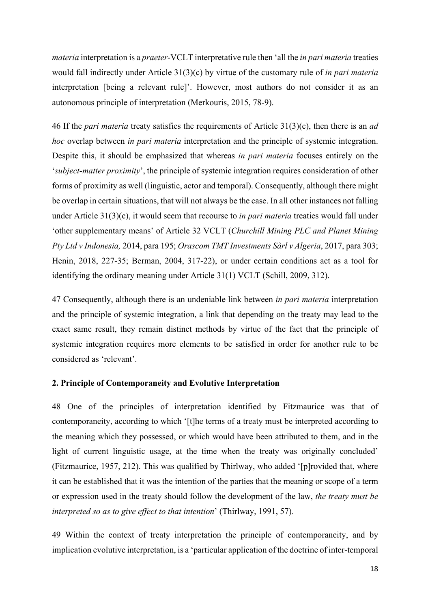*materia* interpretation is a *praeter-*VCLT interpretative rule then 'all the *in pari materia* treaties would fall indirectly under Article 31(3)(c) by virtue of the customary rule of *in pari materia* interpretation [being a relevant rule]'. However, most authors do not consider it as an autonomous principle of interpretation (Merkouris, 2015, 78-9).

46 If the *pari materia* treaty satisfies the requirements of Article 31(3)(c), then there is an *ad hoc* overlap between *in pari materia* interpretation and the principle of systemic integration. Despite this, it should be emphasized that whereas *in pari materia* focuses entirely on the '*subject-matter proximity*', the principle of systemic integration requires consideration of other forms of proximity as well (linguistic, actor and temporal). Consequently, although there might be overlap in certain situations, that will not always be the case. In all other instances not falling under Article 31(3)(c), it would seem that recourse to *in pari materia* treaties would fall under 'other supplementary means' of Article 32 VCLT (*Churchill Mining PLC and Planet Mining Pty Ltd v Indonesia,* 2014, para 195; *Orascom TMT Investments Sàrl v Algeria*, 2017, para 303; Henin, 2018, 227-35; Berman, 2004, 317-22), or under certain conditions act as a tool for identifying the ordinary meaning under Article 31(1) VCLT (Schill, 2009, 312).

47 Consequently, although there is an undeniable link between *in pari materia* interpretation and the principle of systemic integration, a link that depending on the treaty may lead to the exact same result, they remain distinct methods by virtue of the fact that the principle of systemic integration requires more elements to be satisfied in order for another rule to be considered as 'relevant'.

#### **2. Principle of Contemporaneity and Evolutive Interpretation**

48 One of the principles of interpretation identified by Fitzmaurice was that of contemporaneity, according to which '[t]he terms of a treaty must be interpreted according to the meaning which they possessed, or which would have been attributed to them, and in the light of current linguistic usage, at the time when the treaty was originally concluded' (Fitzmaurice, 1957, 212). This was qualified by Thirlway, who added '[p]rovided that, where it can be established that it was the intention of the parties that the meaning or scope of a term or expression used in the treaty should follow the development of the law, *the treaty must be interpreted so as to give effect to that intention*' (Thirlway, 1991, 57).

49 Within the context of treaty interpretation the principle of contemporaneity, and by implication evolutive interpretation, is a 'particular application of the doctrine of inter-temporal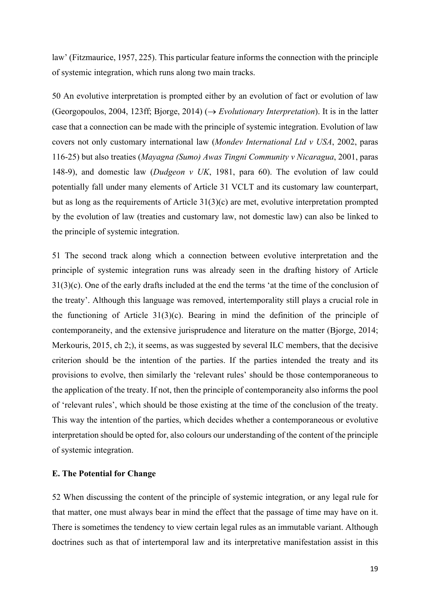law' (Fitzmaurice, 1957, 225). This particular feature informs the connection with the principle of systemic integration, which runs along two main tracks.

50 An evolutive interpretation is prompted either by an evolution of fact or evolution of law (Georgopoulos, 2004, 123ff; Bjorge, 2014) ( $\rightarrow$  *Evolutionary Interpretation*). It is in the latter case that a connection can be made with the principle of systemic integration. Evolution of law covers not only customary international law (*Mondev International Ltd v USA*, 2002, paras 116-25) but also treaties (*Mayagna (Sumo) Awas Tingni Community v Nicaragua*, 2001, paras 148-9), and domestic law (*Dudgeon v UK*, 1981, para 60). The evolution of law could potentially fall under many elements of Article 31 VCLT and its customary law counterpart, but as long as the requirements of Article 31(3)(c) are met, evolutive interpretation prompted by the evolution of law (treaties and customary law, not domestic law) can also be linked to the principle of systemic integration.

51 The second track along which a connection between evolutive interpretation and the principle of systemic integration runs was already seen in the drafting history of Article 31(3)(c). One of the early drafts included at the end the terms 'at the time of the conclusion of the treaty'. Although this language was removed, intertemporality still plays a crucial role in the functioning of Article 31(3)(c). Bearing in mind the definition of the principle of contemporaneity, and the extensive jurisprudence and literature on the matter (Bjorge, 2014; Merkouris, 2015, ch 2;), it seems, as was suggested by several ILC members, that the decisive criterion should be the intention of the parties. If the parties intended the treaty and its provisions to evolve, then similarly the 'relevant rules' should be those contemporaneous to the application of the treaty. If not, then the principle of contemporaneity also informs the pool of 'relevant rules', which should be those existing at the time of the conclusion of the treaty. This way the intention of the parties, which decides whether a contemporaneous or evolutive interpretation should be opted for, also colours our understanding of the content of the principle of systemic integration.

### **E. The Potential for Change**

52 When discussing the content of the principle of systemic integration, or any legal rule for that matter, one must always bear in mind the effect that the passage of time may have on it. There is sometimes the tendency to view certain legal rules as an immutable variant. Although doctrines such as that of intertemporal law and its interpretative manifestation assist in this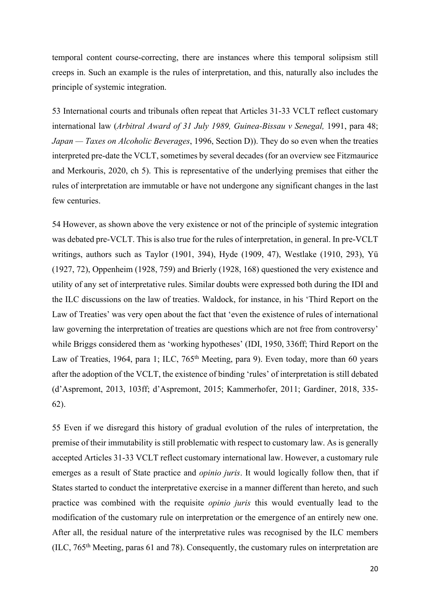temporal content course-correcting, there are instances where this temporal solipsism still creeps in. Such an example is the rules of interpretation, and this, naturally also includes the principle of systemic integration.

53 International courts and tribunals often repeat that Articles 31-33 VCLT reflect customary international law (*Arbitral Award of 31 July 1989, Guinea-Bissau v Senegal,* 1991, para 48; *Japan — Taxes on Alcoholic Beverages*, 1996, Section D)). They do so even when the treaties interpreted pre-date the VCLT, sometimes by several decades (for an overview see Fitzmaurice and Merkouris, 2020, ch 5). This is representative of the underlying premises that either the rules of interpretation are immutable or have not undergone any significant changes in the last few centuries.

54 However, as shown above the very existence or not of the principle of systemic integration was debated pre-VCLT. This is also true for the rules of interpretation, in general. In pre-VCLT writings, authors such as Taylor (1901, 394), Hyde (1909, 47), Westlake (1910, 293), Yü (1927, 72), Oppenheim (1928, 759) and Brierly (1928, 168) questioned the very existence and utility of any set of interpretative rules. Similar doubts were expressed both during the IDI and the ILC discussions on the law of treaties. Waldock, for instance, in his 'Third Report on the Law of Treaties' was very open about the fact that 'even the existence of rules of international law governing the interpretation of treaties are questions which are not free from controversy' while Briggs considered them as 'working hypotheses' (IDI, 1950, 336ff; Third Report on the Law of Treaties, 1964, para 1; ILC, 765<sup>th</sup> Meeting, para 9). Even today, more than 60 years after the adoption of the VCLT, the existence of binding 'rules' of interpretation is still debated (d'Aspremont, 2013, 103ff; d'Aspremont, 2015; Kammerhofer, 2011; Gardiner, 2018, 335- 62).

55 Even if we disregard this history of gradual evolution of the rules of interpretation, the premise of their immutability is still problematic with respect to customary law. As is generally accepted Articles 31-33 VCLT reflect customary international law. However, a customary rule emerges as a result of State practice and *opinio juris*. It would logically follow then, that if States started to conduct the interpretative exercise in a manner different than hereto, and such practice was combined with the requisite *opinio juris* this would eventually lead to the modification of the customary rule on interpretation or the emergence of an entirely new one. After all, the residual nature of the interpretative rules was recognised by the ILC members (ILC,  $765<sup>th</sup> Meeting, paras 61 and 78$ ). Consequently, the customary rules on interpretation are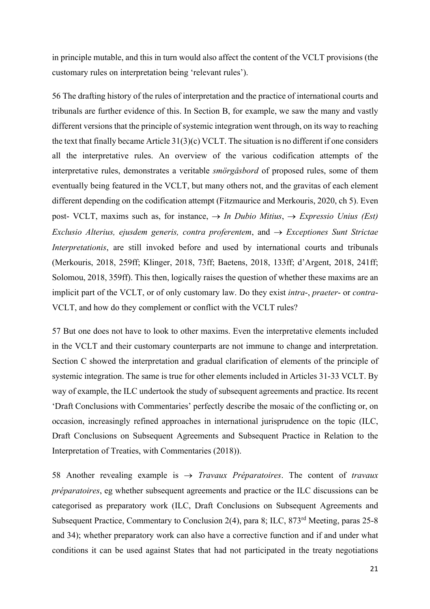in principle mutable, and this in turn would also affect the content of the VCLT provisions (the customary rules on interpretation being 'relevant rules').

56 The drafting history of the rules of interpretation and the practice of international courts and tribunals are further evidence of this. In Section B, for example, we saw the many and vastly different versions that the principle of systemic integration went through, on its way to reaching the text that finally became Article 31(3)(c) VCLT. The situation is no different if one considers all the interpretative rules. An overview of the various codification attempts of the interpretative rules, demonstrates a veritable *smörgåsbord* of proposed rules, some of them eventually being featured in the VCLT, but many others not, and the gravitas of each element different depending on the codification attempt (Fitzmaurice and Merkouris, 2020, ch 5). Even post- VCLT, maxims such as, for instance,  $\rightarrow$  *In Dubio Mitius*,  $\rightarrow$  *Expressio Unius (Est) Exclusio Alterius, ejusdem generis, contra proferentem, and*  $\rightarrow$  *<i>Exceptiones Sunt Strictae Interpretationis*, are still invoked before and used by international courts and tribunals (Merkouris, 2018, 259ff; Klinger, 2018, 73ff; Baetens, 2018, 133ff; d'Argent, 2018, 241ff; Solomou, 2018, 359ff). This then, logically raises the question of whether these maxims are an implicit part of the VCLT, or of only customary law. Do they exist *intra*-, *praeter*- or *contra*-VCLT, and how do they complement or conflict with the VCLT rules?

57 But one does not have to look to other maxims. Even the interpretative elements included in the VCLT and their customary counterparts are not immune to change and interpretation. Section C showed the interpretation and gradual clarification of elements of the principle of systemic integration. The same is true for other elements included in Articles 31-33 VCLT. By way of example, the ILC undertook the study of subsequent agreements and practice. Its recent 'Draft Conclusions with Commentaries' perfectly describe the mosaic of the conflicting or, on occasion, increasingly refined approaches in international jurisprudence on the topic (ILC, Draft Conclusions on Subsequent Agreements and Subsequent Practice in Relation to the Interpretation of Treaties, with Commentaries (2018)).

58 Another revealing example is  $\rightarrow$  *Travaux Préparatoires*. The content of *travaux préparatoires*, eg whether subsequent agreements and practice or the ILC discussions can be categorised as preparatory work (ILC, Draft Conclusions on Subsequent Agreements and Subsequent Practice, Commentary to Conclusion 2(4), para 8; ILC, 873rd Meeting, paras 25-8 and 34); whether preparatory work can also have a corrective function and if and under what conditions it can be used against States that had not participated in the treaty negotiations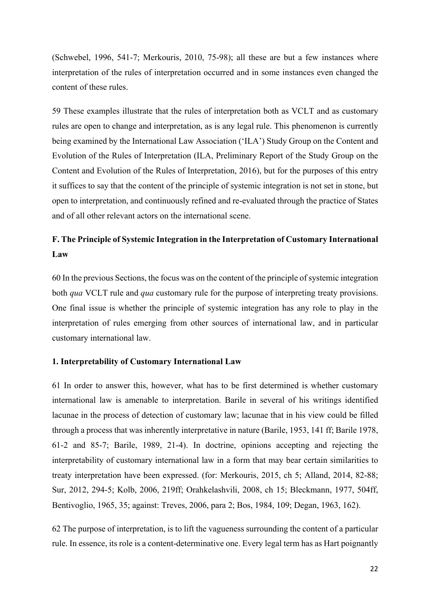(Schwebel, 1996, 541-7; Merkouris, 2010, 75-98); all these are but a few instances where interpretation of the rules of interpretation occurred and in some instances even changed the content of these rules.

59 These examples illustrate that the rules of interpretation both as VCLT and as customary rules are open to change and interpretation, as is any legal rule. This phenomenon is currently being examined by the International Law Association ('ILA') Study Group on the Content and Evolution of the Rules of Interpretation (ILA, Preliminary Report of the Study Group on the Content and Evolution of the Rules of Interpretation, 2016), but for the purposes of this entry it suffices to say that the content of the principle of systemic integration is not set in stone, but open to interpretation, and continuously refined and re-evaluated through the practice of States and of all other relevant actors on the international scene.

# **F. The Principle of Systemic Integration in the Interpretation of Customary International Law**

60 In the previous Sections, the focus was on the content of the principle of systemic integration both *qua* VCLT rule and *qua* customary rule for the purpose of interpreting treaty provisions. One final issue is whether the principle of systemic integration has any role to play in the interpretation of rules emerging from other sources of international law, and in particular customary international law.

# **1. Interpretability of Customary International Law**

61 In order to answer this, however, what has to be first determined is whether customary international law is amenable to interpretation. Barile in several of his writings identified lacunae in the process of detection of customary law; lacunae that in his view could be filled through a process that was inherently interpretative in nature (Barile, 1953, 141 ff; Barile 1978, 61-2 and 85-7; Barile, 1989, 21-4). In doctrine, opinions accepting and rejecting the interpretability of customary international law in a form that may bear certain similarities to treaty interpretation have been expressed. (for: Merkouris, 2015, ch 5; Alland, 2014, 82-88; Sur, 2012, 294-5; Kolb, 2006, 219ff; Orahkelashvili, 2008, ch 15; Bleckmann, 1977, 504ff, Bentivoglio, 1965, 35; against: Treves, 2006, para 2; Bos, 1984, 109; Degan, 1963, 162).

62 The purpose of interpretation, is to lift the vagueness surrounding the content of a particular rule. In essence, its role is a content-determinative one. Every legal term has as Hart poignantly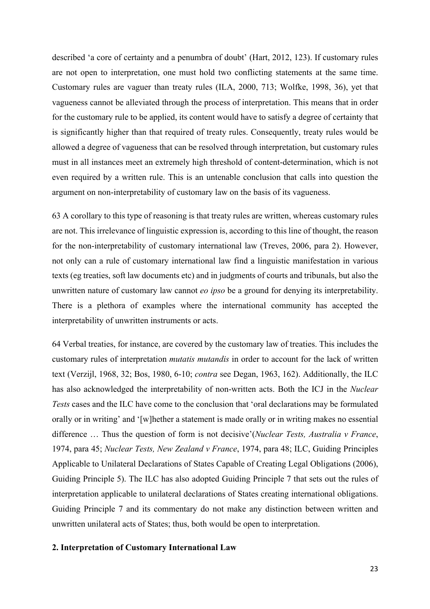described 'a core of certainty and a penumbra of doubt' (Hart, 2012, 123). If customary rules are not open to interpretation, one must hold two conflicting statements at the same time. Customary rules are vaguer than treaty rules (ILA, 2000, 713; Wolfke, 1998, 36), yet that vagueness cannot be alleviated through the process of interpretation. This means that in order for the customary rule to be applied, its content would have to satisfy a degree of certainty that is significantly higher than that required of treaty rules. Consequently, treaty rules would be allowed a degree of vagueness that can be resolved through interpretation, but customary rules must in all instances meet an extremely high threshold of content-determination, which is not even required by a written rule. This is an untenable conclusion that calls into question the argument on non-interpretability of customary law on the basis of its vagueness.

63 A corollary to this type of reasoning is that treaty rules are written, whereas customary rules are not. This irrelevance of linguistic expression is, according to this line of thought, the reason for the non-interpretability of customary international law (Treves, 2006, para 2). However, not only can a rule of customary international law find a linguistic manifestation in various texts (eg treaties, soft law documents etc) and in judgments of courts and tribunals, but also the unwritten nature of customary law cannot *eo ipso* be a ground for denying its interpretability. There is a plethora of examples where the international community has accepted the interpretability of unwritten instruments or acts.

64 Verbal treaties, for instance, are covered by the customary law of treaties. This includes the customary rules of interpretation *mutatis mutandis* in order to account for the lack of written text (Verzijl, 1968, 32; Bos, 1980, 6-10; *contra* see Degan, 1963, 162). Additionally, the ILC has also acknowledged the interpretability of non-written acts. Both the ICJ in the *Nuclear Tests* cases and the ILC have come to the conclusion that 'oral declarations may be formulated orally or in writing' and '[w]hether a statement is made orally or in writing makes no essential difference … Thus the question of form is not decisive'(*Nuclear Tests, Australia v France*, 1974, para 45; *Nuclear Tests, New Zealand v France*, 1974, para 48; ILC, Guiding Principles Applicable to Unilateral Declarations of States Capable of Creating Legal Obligations (2006), Guiding Principle 5). The ILC has also adopted Guiding Principle 7 that sets out the rules of interpretation applicable to unilateral declarations of States creating international obligations. Guiding Principle 7 and its commentary do not make any distinction between written and unwritten unilateral acts of States; thus, both would be open to interpretation.

### **2. Interpretation of Customary International Law**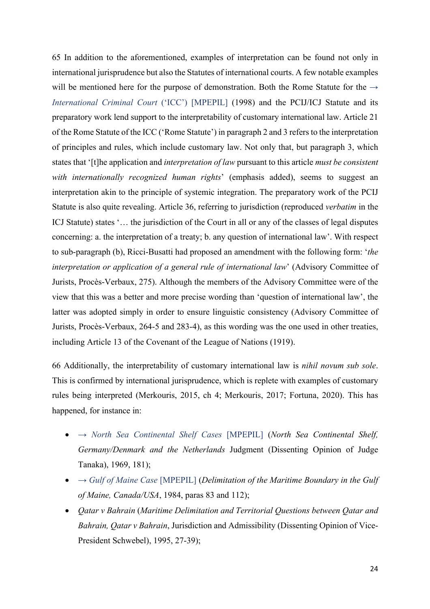65 In addition to the aforementioned, examples of interpretation can be found not only in international jurisprudence but also the Statutes of international courts. A few notable examples will be mentioned here for the purpose of demonstration. Both the Rome Statute for the  $\rightarrow$ *International Criminal Court* ('ICC') [MPEPIL] (1998) and the PCIJ/ICJ Statute and its preparatory work lend support to the interpretability of customary international law. Article 21 of the Rome Statute of the ICC ('Rome Statute') in paragraph 2 and 3 refers to the interpretation of principles and rules, which include customary law. Not only that, but paragraph 3, which states that '[t]he application and *interpretation of law* pursuant to this article *must be consistent with internationally recognized human rights*' (emphasis added), seems to suggest an interpretation akin to the principle of systemic integration. The preparatory work of the PCIJ Statute is also quite revealing. Article 36, referring to jurisdiction (reproduced *verbatim* in the ICJ Statute) states '... the jurisdiction of the Court in all or any of the classes of legal disputes concerning: a. the interpretation of a treaty; b. any question of international law'. With respect to sub-paragraph (b), Ricci-Busatti had proposed an amendment with the following form: '*the interpretation or application of a general rule of international law*' (Advisory Committee of Jurists, Procès-Verbaux, 275). Although the members of the Advisory Committee were of the view that this was a better and more precise wording than 'question of international law', the latter was adopted simply in order to ensure linguistic consistency (Advisory Committee of Jurists, Procès-Verbaux, 264-5 and 283-4), as this wording was the one used in other treaties, including Article 13 of the Covenant of the League of Nations (1919).

66 Additionally, the interpretability of customary international law is *nihil novum sub sole*. This is confirmed by international jurisprudence, which is replete with examples of customary rules being interpreted (Merkouris, 2015, ch 4; Merkouris, 2017; Fortuna, 2020). This has happened, for instance in:

- → *North Sea Continental Shelf Cases* [MPEPIL] (*North Sea Continental Shelf, Germany/Denmark and the Netherlands* Judgment (Dissenting Opinion of Judge Tanaka), 1969, 181);
- → *Gulf of Maine Case* [MPEPIL] (*Delimitation of the Maritime Boundary in the Gulf of Maine, Canada/USA*, 1984, paras 83 and 112);
- *Qatar v Bahrain* (*Maritime Delimitation and Territorial Questions between Qatar and Bahrain, Qatar v Bahrain*, Jurisdiction and Admissibility (Dissenting Opinion of Vice-President Schwebel), 1995, 27-39);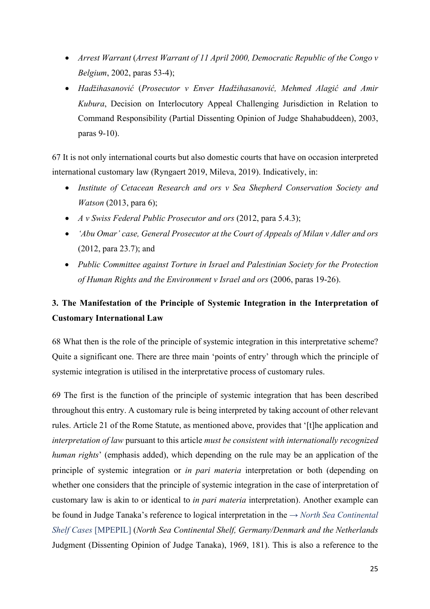- *Arrest Warrant* (*Arrest Warrant of 11 April 2000, Democratic Republic of the Congo v Belgium*, 2002, paras 53-4);
- *Hadžihasanović* (*Prosecutor v Enver Hadžihasanović, Mehmed Alagić and Amir Kubura*, Decision on Interlocutory Appeal Challenging Jurisdiction in Relation to Command Responsibility (Partial Dissenting Opinion of Judge Shahabuddeen), 2003, paras 9-10).

67 It is not only international courts but also domestic courts that have on occasion interpreted international customary law (Ryngaert 2019, Mileva, 2019). Indicatively, in:

- *Institute of Cetacean Research and ors v Sea Shepherd Conservation Society and Watson* (2013, para 6);
- *A v Swiss Federal Public Prosecutor and ors* (2012, para 5.4.3);
- *'Abu Omar' case, General Prosecutor at the Court of Appeals of Milan v Adler and ors* (2012, para 23.7); and
- *Public Committee against Torture in Israel and Palestinian Society for the Protection of Human Rights and the Environment v Israel and ors* (2006, paras 19-26).

# **3. The Manifestation of the Principle of Systemic Integration in the Interpretation of Customary International Law**

68 What then is the role of the principle of systemic integration in this interpretative scheme? Quite a significant one. There are three main 'points of entry' through which the principle of systemic integration is utilised in the interpretative process of customary rules.

69 The first is the function of the principle of systemic integration that has been described throughout this entry. A customary rule is being interpreted by taking account of other relevant rules. Article 21 of the Rome Statute, as mentioned above, provides that '[t]he application and *interpretation of law* pursuant to this article *must be consistent with internationally recognized human rights*' (emphasis added), which depending on the rule may be an application of the principle of systemic integration or *in pari materia* interpretation or both (depending on whether one considers that the principle of systemic integration in the case of interpretation of customary law is akin to or identical to *in pari materia* interpretation). Another example can be found in Judge Tanaka's reference to logical interpretation in the → *North Sea Continental Shelf Cases* [MPEPIL] (*North Sea Continental Shelf, Germany/Denmark and the Netherlands* Judgment (Dissenting Opinion of Judge Tanaka), 1969, 181). This is also a reference to the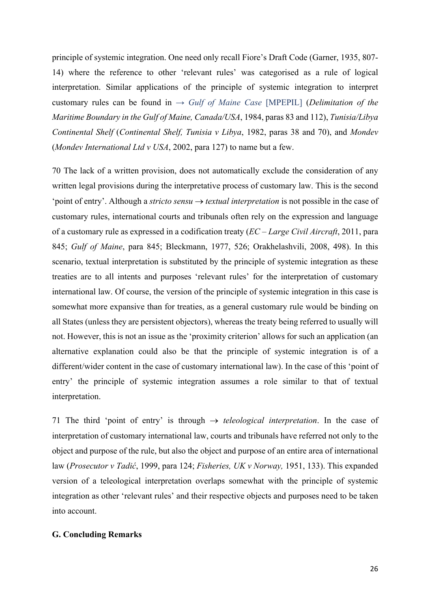principle of systemic integration. One need only recall Fiore's Draft Code (Garner, 1935, 807- 14) where the reference to other 'relevant rules' was categorised as a rule of logical interpretation. Similar applications of the principle of systemic integration to interpret customary rules can be found in  $\rightarrow$  *Gulf of Maine Case* [MPEPIL] (*Delimitation of the Maritime Boundary in the Gulf of Maine, Canada/USA*, 1984, paras 83 and 112), *Tunisia/Libya Continental Shelf* (*Continental Shelf, Tunisia v Libya*, 1982, paras 38 and 70), and *Mondev* (*Mondev International Ltd v USA*, 2002, para 127) to name but a few.

70 The lack of a written provision, does not automatically exclude the consideration of any written legal provisions during the interpretative process of customary law. This is the second 'point of entry'. Although a *stricto sensu*  $\rightarrow$  *textual interpretation* is not possible in the case of customary rules, international courts and tribunals often rely on the expression and language of a customary rule as expressed in a codification treaty (*EC – Large Civil Aircraft*, 2011, para 845; *Gulf of Maine*, para 845; Bleckmann, 1977, 526; Orakhelashvili, 2008, 498). In this scenario, textual interpretation is substituted by the principle of systemic integration as these treaties are to all intents and purposes 'relevant rules' for the interpretation of customary international law. Of course, the version of the principle of systemic integration in this case is somewhat more expansive than for treaties, as a general customary rule would be binding on all States (unless they are persistent objectors), whereas the treaty being referred to usually will not. However, this is not an issue as the 'proximity criterion' allows for such an application (an alternative explanation could also be that the principle of systemic integration is of a different/wider content in the case of customary international law). In the case of this 'point of entry' the principle of systemic integration assumes a role similar to that of textual interpretation.

71 The third 'point of entry' is through  $\rightarrow$  *teleological interpretation*. In the case of interpretation of customary international law, courts and tribunals have referred not only to the object and purpose of the rule, but also the object and purpose of an entire area of international law (*Prosecutor v Tadić*, 1999, para 124; *Fisheries, UK v Norway,* 1951, 133). This expanded version of a teleological interpretation overlaps somewhat with the principle of systemic integration as other 'relevant rules' and their respective objects and purposes need to be taken into account.

# **G. Concluding Remarks**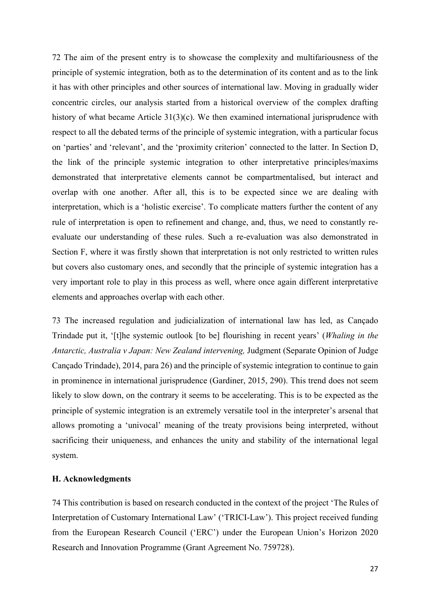72 The aim of the present entry is to showcase the complexity and multifariousness of the principle of systemic integration, both as to the determination of its content and as to the link it has with other principles and other sources of international law. Moving in gradually wider concentric circles, our analysis started from a historical overview of the complex drafting history of what became Article 31(3)(c). We then examined international jurisprudence with respect to all the debated terms of the principle of systemic integration, with a particular focus on 'parties' and 'relevant', and the 'proximity criterion' connected to the latter. In Section D, the link of the principle systemic integration to other interpretative principles/maxims demonstrated that interpretative elements cannot be compartmentalised, but interact and overlap with one another. After all, this is to be expected since we are dealing with interpretation, which is a 'holistic exercise'. To complicate matters further the content of any rule of interpretation is open to refinement and change, and, thus, we need to constantly reevaluate our understanding of these rules. Such a re-evaluation was also demonstrated in Section F, where it was firstly shown that interpretation is not only restricted to written rules but covers also customary ones, and secondly that the principle of systemic integration has a very important role to play in this process as well, where once again different interpretative elements and approaches overlap with each other.

73 The increased regulation and judicialization of international law has led, as Cançado Trindade put it, '[t]he systemic outlook [to be] flourishing in recent years' (*Whaling in the Antarctic, Australia v Japan: New Zealand intervening,* Judgment (Separate Opinion of Judge Cançado Trindade), 2014, para 26) and the principle of systemic integration to continue to gain in prominence in international jurisprudence (Gardiner, 2015, 290). This trend does not seem likely to slow down, on the contrary it seems to be accelerating. This is to be expected as the principle of systemic integration is an extremely versatile tool in the interpreter's arsenal that allows promoting a 'univocal' meaning of the treaty provisions being interpreted, without sacrificing their uniqueness, and enhances the unity and stability of the international legal system.

### **H. Acknowledgments**

74 This contribution is based on research conducted in the context of the project 'The Rules of Interpretation of Customary International Law' ('TRICI-Law'). This project received funding from the European Research Council ('ERC') under the European Union's Horizon 2020 Research and Innovation Programme (Grant Agreement No. 759728).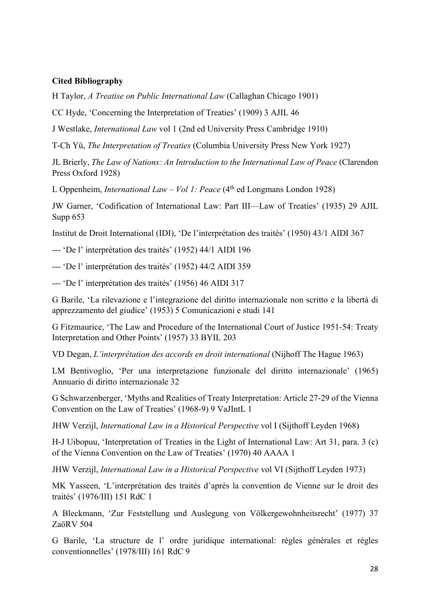# **Cited Bibliography**

H Taylor, *A Treatise on Public International Law* (Callaghan Chicago 1901)

CC Hyde, 'Concerning the Interpretation of Treaties' (1909) 3 AJIL 46

J Westlake, *International Law* vol 1 (2nd ed University Press Cambridge 1910)

T-Ch Yü, *The Interpretation of Treaties* (Columbia University Press New York 1927)

JL Brierly, *The Law of Nations: An Introduction to the International Law of Peace* (Clarendon Press Oxford 1928)

L Oppenheim, *International Law – Vol 1: Peace* (4<sup>th</sup> ed Longmans London 1928)

JW Garner, 'Codification of International Law: Part III—Law of Treaties' (1935) 29 AJIL Supp 653

Institut de Droit International (IDI), 'De l'interprétation des traités' (1950) 43/1 AIDI 367

--- 'De l' interprétation des traités' (1952) 44/1 AIDI 196

--- 'De l' interprétation des traités' (1952) 44/2 AIDI 359

--- 'De l' interprétation des traités' (1956) 46 AIDI 317

G Barile, 'La rilevazione e l'integrazione del diritto internazionale non scritto e la libertà di apprezzamento del giudice' (1953) 5 Comunicazioni e studi 141

G Fitzmaurice, 'The Law and Procedure of the International Court of Justice 1951-54: Treaty Interpretation and Other Points' (1957) 33 BYIL 203

VD Degan, *L'interprétation des accords en droit international* (Nijhoff The Hague 1963)

LM Bentivoglio, 'Per una interpretazione funzionale del diritto internazionale' (1965) Annuario di diritto internazionale 32

G Schwarzenberger, 'Myths and Realities of Treaty Interpretation: Article 27-29 of the Vienna Convention on the Law of Treaties' (1968-9) 9 VaJIntL 1

JHW Verzijl, *International Law in a Historical Perspective* vol I (Sijthoff Leyden 1968)

H-J Uibopuu, 'Interpretation of Treaties in the Light of International Law: Art 31, para. 3 (c) of the Vienna Convention on the Law of Treaties' (1970) 40 AAAA 1

JHW Verzijl, *International Law in a Historical Perspective* vol VI (Sijthoff Leyden 1973)

MK Yasseen, 'L'interprétation des traités d'après la convention de Vienne sur le droit des traités' (1976/III) 151 RdC 1

A Bleckmann, 'Zur Feststellung und Auslegung von Völkergewohnheitsrecht' (1977) 37 ZaöRV 504

G Barile, 'La structure de l' ordre juridique international: règles générales et règles conventionnelles' (1978/III) 161 RdC 9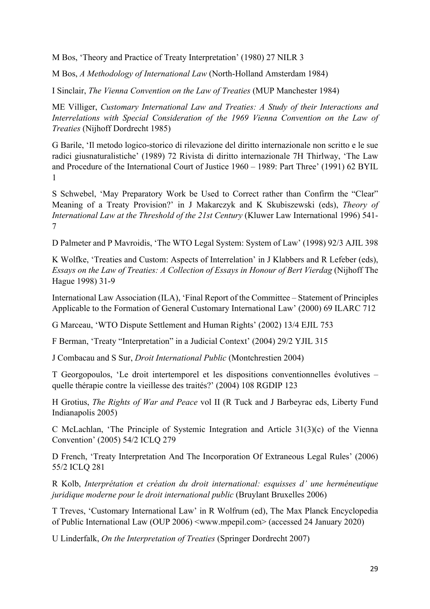M Bos, 'Theory and Practice of Treaty Interpretation' (1980) 27 NILR 3

M Bos, *A Methodology of International Law* (North-Holland Amsterdam 1984)

I Sinclair, *The Vienna Convention on the Law of Treaties* (MUP Manchester 1984)

ME Villiger, *Customary International Law and Treaties: A Study of their Interactions and Interrelations with Special Consideration of the 1969 Vienna Convention on the Law of Treaties* (Nijhoff Dordrecht 1985)

G Barile, 'Il metodo logico-storico di rilevazione del diritto internazionale non scritto e le sue radici giusnaturalistiche' (1989) 72 Rivista di diritto internazionale 7H Thirlway, 'The Law and Procedure of the International Court of Justice 1960 – 1989: Part Three' (1991) 62 BYIL 1

S Schwebel, 'May Preparatory Work be Used to Correct rather than Confirm the "Clear" Meaning of a Treaty Provision?' in J Makarczyk and K Skubiszewski (eds), *Theory of International Law at the Threshold of the 21st Century* (Kluwer Law International 1996) 541- 7

D Palmeter and P Mavroidis, 'The WTO Legal System: System of Law' (1998) 92/3 AJIL 398

K Wolfke, 'Treaties and Custom: Aspects of Interrelation' in J Klabbers and R Lefeber (eds), *Essays on the Law of Treaties: A Collection of Essays in Honour of Bert Vierdag* (Nijhoff The Hague 1998) 31-9

International Law Association (ILA), 'Final Report of the Committee – Statement of Principles Applicable to the Formation of General Customary International Law' (2000) 69 ILARC 712

G Marceau, 'WTO Dispute Settlement and Human Rights' (2002) 13/4 EJIL 753

F Berman, 'Treaty "Interpretation" in a Judicial Context' (2004) 29/2 YJIL 315

J Combacau and S Sur, *Droit International Public* (Montchrestien 2004)

T Georgopoulos, 'Le droit intertemporel et les dispositions conventionnelles évolutives – quelle thérapie contre la vieillesse des traités?' (2004) 108 RGDIP 123

H Grotius, *The Rights of War and Peace* vol II (R Tuck and J Barbeyrac eds, Liberty Fund Indianapolis 2005)

C McLachlan, 'The Principle of Systemic Integration and Article 31(3)(c) of the Vienna Convention' (2005) 54/2 ICLQ 279

D French, 'Treaty Interpretation And The Incorporation Of Extraneous Legal Rules' (2006) 55/2 ICLQ 281

R Kolb, *Interprétation et création du droit international: esquisses d' une herméneutique juridique moderne pour le droit international public (Bruvlant Bruxelles 2006)* 

T Treves, 'Customary International Law' in R Wolfrum (ed), The Max Planck Encyclopedia of Public International Law (OUP 2006) <www.mpepil.com> (accessed 24 January 2020)

U Linderfalk, *On the Interpretation of Treaties* (Springer Dordrecht 2007)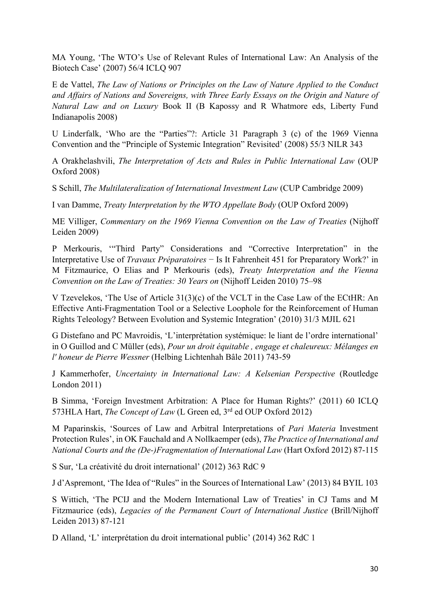MA Young, 'The WTO's Use of Relevant Rules of International Law: An Analysis of the Biotech Case' (2007) 56/4 ICLQ 907

E de Vattel, *The Law of Nations or Principles on the Law of Nature Applied to the Conduct and Affairs of Nations and Sovereigns, with Three Early Essays on the Origin and Nature of Natural Law and on Luxury* Book II (B Kapossy and R Whatmore eds, Liberty Fund Indianapolis 2008)

U Linderfalk, 'Who are the "Parties"?: Article 31 Paragraph 3 (c) of the 1969 Vienna Convention and the "Principle of Systemic Integration" Revisited' (2008) 55/3 NILR 343

A Orakhelashvili, *The Interpretation of Acts and Rules in Public International Law* (OUP Oxford 2008)

S Schill, *The Multilateralization of International Investment Law* (CUP Cambridge 2009)

I van Damme, *Treaty Interpretation by the WTO Appellate Body* (OUP Oxford 2009)

ME Villiger, *Commentary on the 1969 Vienna Convention on the Law of Treaties* (Nijhoff Leiden 2009)

P Merkouris, '"Third Party" Considerations and "Corrective Interpretation" in the Interpretative Use of *Travaux Préparatoires* − Is It Fahrenheit 451 for Preparatory Work?' in M Fitzmaurice, O Elias and P Merkouris (eds), *Treaty Interpretation and the Vienna Convention on the Law of Treaties: 30 Years on* (Nijhoff Leiden 2010) 75–98

V Tzevelekos, 'The Use of Article 31(3)(c) of the VCLT in the Case Law of the ECtHR: An Effective Anti-Fragmentation Tool or a Selective Loophole for the Reinforcement of Human Rights Teleology? Between Evolution and Systemic Integration' (2010) 31/3 MJIL 621

G Distefano and PC Mavroidis, 'L'interprétation systémique: le liant de l'ordre international' in O Guillod and C Müller (eds), *Pour un droit équitable , engage et chaleureux: Mélanges en l' honeur de Pierre Wessner* (Helbing Lichtenhah Bâle 2011) 743-59

J Kammerhofer, *Uncertainty in International Law: A Kelsenian Perspective* (Routledge London 2011)

B Simma, 'Foreign Investment Arbitration: A Place for Human Rights?' (2011) 60 ICLQ 573HLA Hart, *The Concept of Law* (L Green ed, 3rd ed OUP Oxford 2012)

M Paparinskis, 'Sources of Law and Arbitral Interpretations of *Pari Materia* Investment Protection Rules', in OK Fauchald and A Nollkaemper (eds), *The Practice of International and National Courts and the (De-)Fragmentation of International Law* (Hart Oxford 2012) 87-115

S Sur, 'La créativité du droit international' (2012) 363 RdC 9

J d'Aspremont, 'The Idea of "Rules" in the Sources of International Law' (2013) 84 BYIL 103

S Wittich, 'The PCIJ and the Modern International Law of Treaties' in CJ Tams and M Fitzmaurice (eds), *Legacies of the Permanent Court of International Justice* (Brill/Nijhoff Leiden 2013) 87-121

D Alland, 'L' interprétation du droit international public' (2014) 362 RdC 1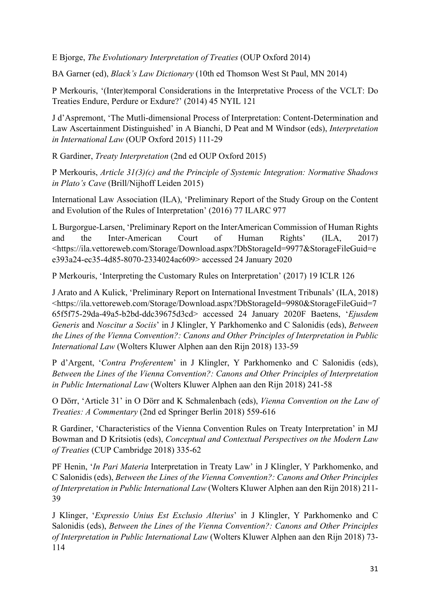E Bjorge, *The Evolutionary Interpretation of Treaties* (OUP Oxford 2014)

BA Garner (ed), *Black's Law Dictionary* (10th ed Thomson West St Paul, MN 2014)

P Merkouris, '(Inter)temporal Considerations in the Interpretative Process of the VCLT: Do Treaties Endure, Perdure or Exdure?' (2014) 45 NYIL 121

J d'Aspremont, 'The Mutli-dimensional Process of Interpretation: Content-Determination and Law Ascertainment Distinguished' in A Bianchi, D Peat and M Windsor (eds), *Interpretation in International Law* (OUP Oxford 2015) 111-29

R Gardiner, *Treaty Interpretation* (2nd ed OUP Oxford 2015)

P Merkouris, *Article 31(3)(c) and the Principle of Systemic Integration: Normative Shadows in Plato's Cave* (Brill/Nijhoff Leiden 2015)

International Law Association (ILA), 'Preliminary Report of the Study Group on the Content and Evolution of the Rules of Interpretation' (2016) 77 ILARC 977

L Burgorgue-Larsen, 'Preliminary Report on the InterAmerican Commission of Human Rights and the Inter-American Court of Human Rights' (ILA, 2017) <https://ila.vettoreweb.com/Storage/Download.aspx?DbStorageId=9977&StorageFileGuid=e e393a24-ec35-4d85-8070-2334024ac609> accessed 24 January 2020

P Merkouris, 'Interpreting the Customary Rules on Interpretation' (2017) 19 ICLR 126

J Arato and A Kulick, 'Preliminary Report on International Investment Tribunals' (ILA, 2018) <https://ila.vettoreweb.com/Storage/Download.aspx?DbStorageId=9980&StorageFileGuid=7 65f5f75-29da-49a5-b2bd-ddc39675d3cd> accessed 24 January 2020F Baetens, '*Ejusdem Generis* and *Noscitur a Sociis*' in J Klingler, Y Parkhomenko and C Salonidis (eds), *Between the Lines of the Vienna Convention?: Canons and Other Principles of Interpretation in Public International Law* (Wolters Kluwer Alphen aan den Rijn 2018) 133-59

P d'Argent, '*Contra Proferentem*' in J Klingler, Y Parkhomenko and C Salonidis (eds), *Between the Lines of the Vienna Convention?: Canons and Other Principles of Interpretation in Public International Law* (Wolters Kluwer Alphen aan den Rijn 2018) 241-58

O Dörr, 'Article 31' in O Dörr and K Schmalenbach (eds), *Vienna Convention on the Law of Treaties: A Commentary* (2nd ed Springer Berlin 2018) 559-616

R Gardiner, 'Characteristics of the Vienna Convention Rules on Treaty Interpretation' in MJ Bowman and D Kritsiotis (eds), *Conceptual and Contextual Perspectives on the Modern Law of Treaties* (CUP Cambridge 2018) 335-62

PF Henin, '*In Pari Materia* Interpretation in Treaty Law' in J Klingler, Y Parkhomenko, and C Salonidis (eds), *Between the Lines of the Vienna Convention?: Canons and Other Principles of Interpretation in Public International Law* (Wolters Kluwer Alphen aan den Rijn 2018) 211- 39

J Klinger, '*Expressio Unius Est Exclusio Alterius*' in J Klingler, Y Parkhomenko and C Salonidis (eds), *Between the Lines of the Vienna Convention?: Canons and Other Principles of Interpretation in Public International Law* (Wolters Kluwer Alphen aan den Rijn 2018) 73- 114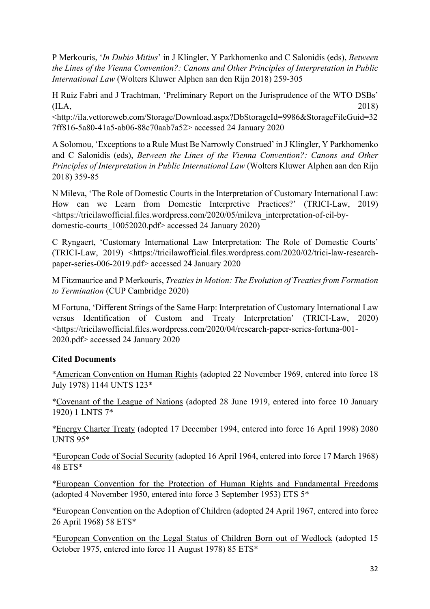P Merkouris, '*In Dubio Mitius*' in J Klingler, Y Parkhomenko and C Salonidis (eds), *Between the Lines of the Vienna Convention?: Canons and Other Principles of Interpretation in Public International Law* (Wolters Kluwer Alphen aan den Rijn 2018) 259-305

H Ruiz Fabri and J Trachtman, 'Preliminary Report on the Jurisprudence of the WTO DSBs'  $(IIA, 2018)$ <http://ila.vettoreweb.com/Storage/Download.aspx?DbStorageId=9986&StorageFileGuid=32 7ff816-5a80-41a5-ab06-88c70aab7a52> accessed 24 January 2020

A Solomou, 'Exceptions to a Rule Must Be Narrowly Construed' in J Klingler, Y Parkhomenko and C Salonidis (eds), *Between the Lines of the Vienna Convention?: Canons and Other Principles of Interpretation in Public International Law* (Wolters Kluwer Alphen aan den Rijn 2018) 359-85

N Mileva, 'The Role of Domestic Courts in the Interpretation of Customary International Law: How can we Learn from Domestic Interpretive Practices?' (TRICI-Law, 2019) <https://tricilawofficial.files.wordpress.com/2020/05/mileva\_interpretation-of-cil-bydomestic-courts\_10052020.pdf> accessed 24 January 2020)

C Ryngaert, 'Customary International Law Interpretation: The Role of Domestic Courts' (TRICI-Law, 2019) <https://tricilawofficial.files.wordpress.com/2020/02/trici-law-researchpaper-series-006-2019.pdf> accessed 24 January 2020

M Fitzmaurice and P Merkouris, *Treaties in Motion: The Evolution of Treaties from Formation to Termination* (CUP Cambridge 2020)

M Fortuna, 'Different Strings of the Same Harp: Interpretation of Customary International Law versus Identification of Custom and Treaty Interpretation' (TRICI-Law, 2020) <https://tricilawofficial.files.wordpress.com/2020/04/research-paper-series-fortuna-001- 2020.pdf> accessed 24 January 2020

# **Cited Documents**

\*American Convention on Human Rights (adopted 22 November 1969, entered into force 18 July 1978) 1144 UNTS 123\*

\*Covenant of the League of Nations (adopted 28 June 1919, entered into force 10 January 1920) 1 LNTS 7\*

\*Energy Charter Treaty (adopted 17 December 1994, entered into force 16 April 1998) 2080 UNTS 95\*

\*European Code of Social Security (adopted 16 April 1964, entered into force 17 March 1968) 48 ETS\*

\*European Convention for the Protection of Human Rights and Fundamental Freedoms (adopted 4 November 1950, entered into force 3 September 1953) ETS 5\*

\*European Convention on the Adoption of Children (adopted 24 April 1967, entered into force 26 April 1968) 58 ETS\*

\*European Convention on the Legal Status of Children Born out of Wedlock (adopted 15 October 1975, entered into force 11 August 1978) 85 ETS\*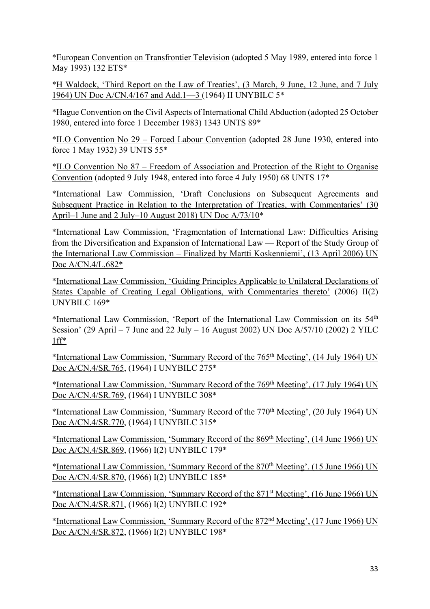\*European Convention on Transfrontier Television (adopted 5 May 1989, entered into force 1 May 1993) 132 ETS\*

\*H Waldock, 'Third Report on the Law of Treaties', (3 March, 9 June, 12 June, and 7 July 1964) UN Doc A/CN.4/167 and Add.1—3 (1964) II UNYBILC 5\*

\*Hague Convention on the Civil Aspects of International Child Abduction (adopted 25 October 1980, entered into force 1 December 1983) 1343 UNTS 89\*

\*ILO Convention No 29 – Forced Labour Convention (adopted 28 June 1930, entered into force 1 May 1932) 39 UNTS 55\*

\*ILO Convention No 87 – Freedom of Association and Protection of the Right to Organise Convention (adopted 9 July 1948, entered into force 4 July 1950) 68 UNTS 17\*

\*International Law Commission, 'Draft Conclusions on Subsequent Agreements and Subsequent Practice in Relation to the Interpretation of Treaties, with Commentaries' (30 April–1 June and 2 July–10 August 2018) UN Doc A/73/10\*

\*International Law Commission, 'Fragmentation of International Law: Difficulties Arising from the Diversification and Expansion of International Law — Report of the Study Group of the International Law Commission – Finalized by Martti Koskenniemi', (13 April 2006) UN Doc A/CN.4/L.682\*

\*International Law Commission, 'Guiding Principles Applicable to Unilateral Declarations of States Capable of Creating Legal Obligations, with Commentaries thereto' (2006) II(2) UNYBILC 169\*

\*International Law Commission, 'Report of the International Law Commission on its 54th Session' (29 April – 7 June and 22 July – 16 August 2002) UN Doc  $A/57/10$  (2002) 2 YILC 1ff\*

\*International Law Commission, 'Summary Record of the 765th Meeting', (14 July 1964) UN Doc A/CN.4/SR.765, (1964) I UNYBILC 275\*

\*International Law Commission, 'Summary Record of the 769th Meeting', (17 July 1964) UN Doc A/CN.4/SR.769, (1964) I UNYBILC 308\*

\*International Law Commission, 'Summary Record of the 770<sup>th</sup> Meeting', (20 July 1964) UN Doc A/CN.4/SR.770, (1964) I UNYBILC 315\*

\*International Law Commission, 'Summary Record of the 869th Meeting', (14 June 1966) UN Doc A/CN.4/SR.869, (1966) I(2) UNYBILC 179\*

\*International Law Commission, 'Summary Record of the 870th Meeting', (15 June 1966) UN Doc A/CN.4/SR.870, (1966) I(2) UNYBILC 185\*

\*International Law Commission, 'Summary Record of the 871st Meeting', (16 June 1966) UN Doc A/CN.4/SR.871, (1966) I(2) UNYBILC 192\*

\*International Law Commission, 'Summary Record of the 872nd Meeting', (17 June 1966) UN Doc A/CN.4/SR.872, (1966) I(2) UNYBILC 198\*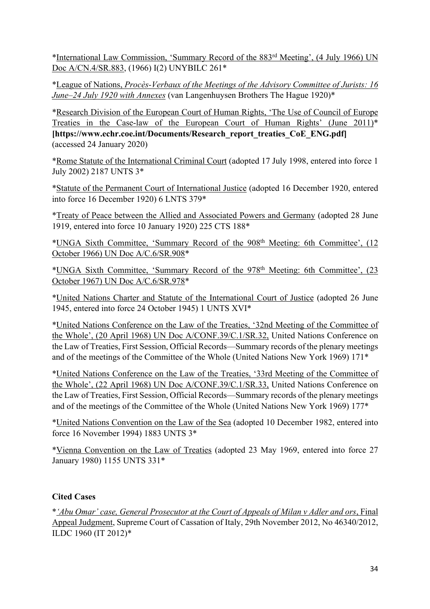\*International Law Commission, 'Summary Record of the 883rd Meeting', (4 July 1966) UN Doc A/CN.4/SR.883, (1966) I(2) UNYBILC 261\*

\*League of Nations, *Procès-Verbaux of the Meetings of the Advisory Committee of Jurists: 16 June–24 July 1920 with Annexes* (van Langenhuysen Brothers The Hague 1920)\*

\*Research Division of the European Court of Human Rights, 'The Use of Council of Europe Treaties in the Case-law of the European Court of Human Rights' (June 2011)\* **[https://www.echr.coe.int/Documents/Research\_report\_treaties\_CoE\_ENG.pdf]**  (accessed 24 January 2020)

\*Rome Statute of the International Criminal Court (adopted 17 July 1998, entered into force 1 July 2002) 2187 UNTS 3\*

\*Statute of the Permanent Court of International Justice (adopted 16 December 1920, entered into force 16 December 1920) 6 LNTS 379\*

\*Treaty of Peace between the Allied and Associated Powers and Germany (adopted 28 June 1919, entered into force 10 January 1920) 225 CTS 188\*

\*UNGA Sixth Committee, 'Summary Record of the 908th Meeting: 6th Committee', (12 October 1966) UN Doc A/C.6/SR.908\*

\*UNGA Sixth Committee, 'Summary Record of the 978<sup>th</sup> Meeting: 6th Committee', (23) October 1967) UN Doc A/C.6/SR.978\*

\*United Nations Charter and Statute of the International Court of Justice (adopted 26 June 1945, entered into force 24 October 1945) 1 UNTS XVI\*

\*United Nations Conference on the Law of the Treaties, '32nd Meeting of the Committee of the Whole', (20 April 1968) UN Doc A/CONF.39/C.1/SR.32, United Nations Conference on the Law of Treaties, First Session, Official Records—Summary records of the plenary meetings and of the meetings of the Committee of the Whole (United Nations New York 1969) 171\*

\*United Nations Conference on the Law of the Treaties, '33rd Meeting of the Committee of the Whole', (22 April 1968) UN Doc A/CONF.39/C.1/SR.33, United Nations Conference on the Law of Treaties, First Session, Official Records—Summary records of the plenary meetings and of the meetings of the Committee of the Whole (United Nations New York 1969) 177\*

\*United Nations Convention on the Law of the Sea (adopted 10 December 1982, entered into force 16 November 1994) 1883 UNTS 3\*

\*Vienna Convention on the Law of Treaties (adopted 23 May 1969, entered into force 27 January 1980) 1155 UNTS 331\*

# **Cited Cases**

\**'Abu Omar' case, General Prosecutor at the Court of Appeals of Milan v Adler and ors*, Final Appeal Judgment, Supreme Court of Cassation of Italy, 29th November 2012, No 46340/2012, ILDC 1960 (IT 2012)\*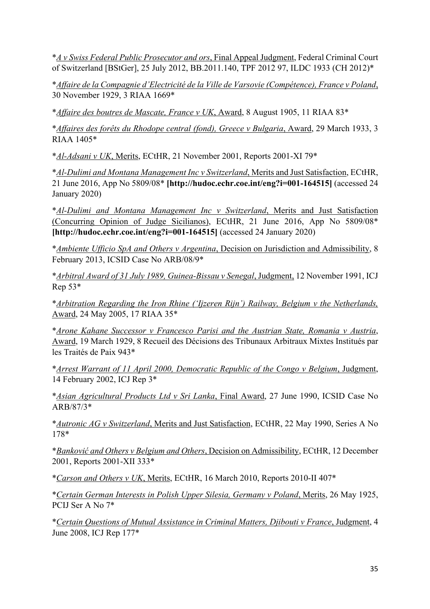\**A v Swiss Federal Public Prosecutor and ors*, Final Appeal Judgment, Federal Criminal Court of Switzerland [BStGer], 25 July 2012, BB.2011.140, TPF 2012 97, ILDC 1933 (CH 2012)\*

\**Affaire de la Compagnie d'Electricité de la Ville de Varsovie (Compétence), France v Poland*, 30 November 1929, 3 RIAA 1669\*

\**Affaire des boutres de Mascate, France v UK*, Award, 8 August 1905, 11 RIAA 83\*

\**Affaires des forêts du Rhodope central (fond), Greece v Bulgaria*, Award, 29 March 1933, 3 RIAA 1405\*

\**Al-Adsani v UK*, Merits, ECtHR, 21 November 2001, Reports 2001-XI 79\*

\**Al-Dulimi and Montana Management Inc v Switzerland*, Merits and Just Satisfaction, ECtHR, 21 June 2016, App No 5809/08\* **[http://hudoc.echr.coe.int/eng?i=001-164515]** (accessed 24 January 2020)

\**Al-Dulimi and Montana Management Inc v Switzerland*, Merits and Just Satisfaction (Concurring Opinion of Judge Sicilianos), ECtHR, 21 June 2016, App No 5809/08\* **[http://hudoc.echr.coe.int/eng?i=001-164515]** (accessed 24 January 2020)

\**Ambiente Ufficio SpA and Others v Argentina*, Decision on Jurisdiction and Admissibility, 8 February 2013, ICSID Case No ARB/08/9\*

\**Arbitral Award of 31 July 1989, Guinea-Bissau v Senegal*, Judgment, 12 November 1991, ICJ  $Rep 53*$ 

\**Arbitration Regarding the Iron Rhine ('Ijzeren Rijn') Railway, Belgium v the Netherlands,* Award, 24 May 2005, 17 RIAA 35\*

\**Arone Kahane Successor v Francesco Parisi and the Austrian State, Romania v Austria*, Award, 19 March 1929, 8 Recueil des Décisions des Tribunaux Arbitraux Mixtes Institués par les Traités de Paix 943\*

\**Arrest Warrant of 11 April 2000, Democratic Republic of the Congo v Belgium*, Judgment, 14 February 2002, ICJ Rep 3\*

\**Asian Agricultural Products Ltd v Sri Lanka*, Final Award, 27 June 1990, ICSID Case No ARB/87/3\*

\**Autronic AG v Switzerland*, Merits and Just Satisfaction, ECtHR, 22 May 1990, Series A No 178\*

\**Banković and Others v Belgium and Others*, Decision on Admissibility, ECtHR, 12 December 2001, Reports 2001-XII 333\*

\**Carson and Others v UK*, Merits, ECtHR, 16 March 2010, Reports 2010-II 407\*

\**Certain German Interests in Polish Upper Silesia, Germany v Poland*, Merits, 26 May 1925, PCIJ Ser A No 7\*

\**Certain Questions of Mutual Assistance in Criminal Matters, Djibouti v France*, Judgment, 4 June 2008, ICJ Rep 177\*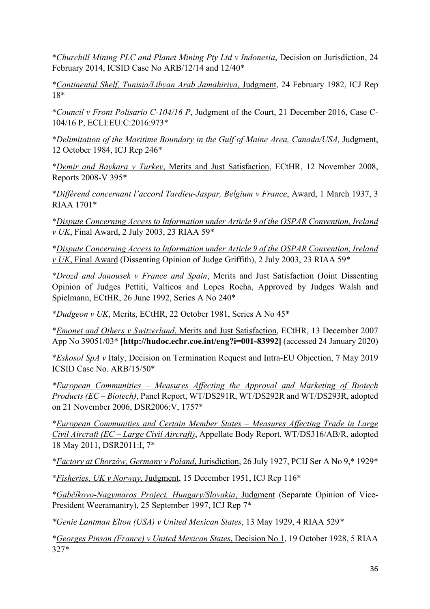\**Churchill Mining PLC and Planet Mining Pty Ltd v Indonesia*, Decision on Jurisdiction, 24 February 2014, ICSID Case No ARB/12/14 and 12/40\*

\**Continental Shelf, Tunisia/Libyan Arab Jamahiriya,* Judgment, 24 February 1982, ICJ Rep 18\*

\**Council v Front Polisario C-104/16 P*, Judgment of the Court, 21 December 2016, Case C-104/16 P, ECLI:EU:C:2016:973\*

\**Delimitation of the Maritime Boundary in the Gulf of Maine Area, Canada/USA,* Judgment, 12 October 1984, ICJ Rep 246\*

\**Demir and Baykara v Turkey*, Merits and Just Satisfaction, ECtHR, 12 November 2008, Reports 2008-V 395\*

\**Différend concernant l'accord Tardieu-Jaspar, Belgium v France*, Award, 1 March 1937, 3 RIAA 1701\*

\**Dispute Concerning Access to Information under Article 9 of the OSPAR Convention, Ireland v UK*, Final Award, 2 July 2003, 23 RIAA 59\*

\**Dispute Concerning Access to Information under Article 9 of the OSPAR Convention, Ireland v UK*, Final Award (Dissenting Opinion of Judge Griffith), 2 July 2003, 23 RIAA 59\*

\**Drozd and Janousek v France and Spain*, Merits and Just Satisfaction (Joint Dissenting Opinion of Judges Pettiti, Valticos and Lopes Rocha, Approved by Judges Walsh and Spielmann, ECtHR, 26 June 1992, Series A No 240\*

\**Dudgeon v UK*, Merits, ECtHR, 22 October 1981, Series A No 45\*

\**Emonet and Others v Switzerland*, Merits and Just Satisfaction, ECtHR, 13 December 2007 App No 39051/03\* **[http://hudoc.echr.coe.int/eng?i=001-83992]** (accessed 24 January 2020)

\**Eskosol SpA v* Italy, Decision on Termination Request and Intra-EU Objection, 7 May 2019 ICSID Case No. ARB/15/50\*

*\*European Communities – Measures Affecting the Approval and Marketing of Biotech Products (EC – Biotech)*, Panel Report, WT/DS291R, WT/DS292R and WT/DS293R, adopted on 21 November 2006, DSR2006:V, 1757\*

\**European Communities and Certain Member States – Measures Affecting Trade in Large Civil Aircraft (EC – Large Civil Aircraft)*, Appellate Body Report, WT/DS316/AB/R, adopted 18 May 2011, DSR2011:I, 7\*

\**Factory at Chorzów, Germany v Poland*, Jurisdiction, 26 July 1927, PCIJ Ser A No 9,\* 1929\*

\**Fisheries, UK v Norway,* Judgment, 15 December 1951, ICJ Rep 116\*

\**Gabčíkovo-Nagymaros Project, Hungary/Slovakia*, Judgment (Separate Opinion of Vice-President Weeramantry), 25 September 1997, ICJ Rep 7\*

*\*Genie Lantman Elton (USA) v United Mexican States*, 13 May 1929, 4 RIAA 529*\**

\**Georges Pinson (France) v United Mexican States*, Decision No 1, 19 October 1928, 5 RIAA 327\*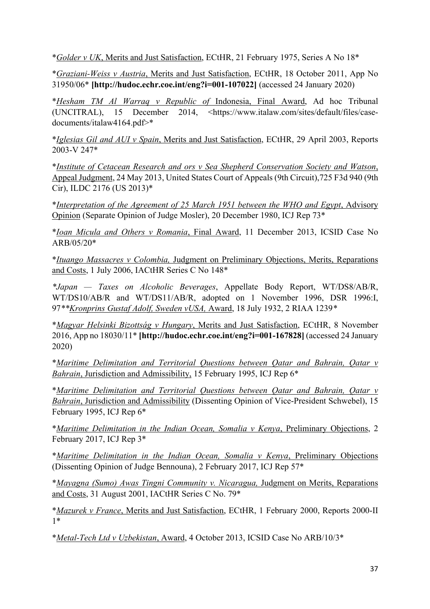\**Golder v UK*, Merits and Just Satisfaction, ECtHR, 21 February 1975, Series A No 18\*

\**Graziani-Weiss v Austria*, Merits and Just Satisfaction, ECtHR, 18 October 2011, App No 31950/06\* **[http://hudoc.echr.coe.int/eng?i=001-107022]** (accessed 24 January 2020)

\**Hesham TM Al Warraq v Republic of* Indonesia, Final Award, Ad hoc Tribunal (UNCITRAL), 15 December 2014, <https://www.italaw.com/sites/default/files/casedocuments/italaw4164.pdf>\*

\**Iglesias Gil and AUI v Spain*, Merits and Just Satisfaction, ECtHR, 29 April 2003, Reports 2003-V 247\*

\**Institute of Cetacean Research and ors v Sea Shepherd Conservation Society and Watson*, Appeal Judgment, 24 May 2013, United States Court of Appeals (9th Circuit),725 F3d 940 (9th Cir), ILDC 2176 (US 2013)\*

\**Interpretation of the Agreement of 25 March 1951 between the WHO and Egypt*, Advisory Opinion (Separate Opinion of Judge Mosler), 20 December 1980, ICJ Rep 73\*

\**Ioan Micula and Others v Romania*, Final Award, 11 December 2013, ICSID Case No ARB/05/20\*

\**Ituango Massacres v Colombia,* Judgment on Preliminary Objections, Merits, Reparations and Costs, 1 July 2006, IACtHR Series C No 148\*

*\*Japan — Taxes on Alcoholic Beverages*, Appellate Body Report, WT/DS8/AB/R, WT/DS10/AB/R and WT/DS11/AB/R, adopted on 1 November 1996, DSR 1996:I, 97*\*\*Kronprins Gustaf Adolf, Sweden vUSA,* Award, 18 July 1932, 2 RIAA 1239*\**

\**Magyar Helsinki Bizottság v Hungary*, Merits and Just Satisfaction, ECtHR, 8 November 2016, App no 18030/11\* **[http://hudoc.echr.coe.int/eng?i=001-167828]** (accessed 24 January 2020)

\**Maritime Delimitation and Territorial Questions between Qatar and Bahrain, Qatar v Bahrain*, Jurisdiction and Admissibility, 15 February 1995, ICJ Rep 6\*

\**Maritime Delimitation and Territorial Questions between Qatar and Bahrain, Qatar v Bahrain*, Jurisdiction and Admissibility (Dissenting Opinion of Vice-President Schwebel), 15 February 1995, ICJ Rep 6\*

\**Maritime Delimitation in the Indian Ocean, Somalia v Kenya*, Preliminary Objections, 2 February 2017, ICJ Rep 3\*

\**Maritime Delimitation in the Indian Ocean, Somalia v Kenya*, Preliminary Objections (Dissenting Opinion of Judge Bennouna), 2 February 2017, ICJ Rep 57\*

\**Mayagna (Sumo) Awas Tingni Community v. Nicaragua,* Judgment on Merits, Reparations and Costs, 31 August 2001, IACtHR Series C No. 79\*

\**Mazurek v France*, Merits and Just Satisfaction, ECtHR, 1 February 2000, Reports 2000-II 1\*

\**Metal-Tech Ltd v Uzbekistan*, Award, 4 October 2013, ICSID Case No ARB/10/3\*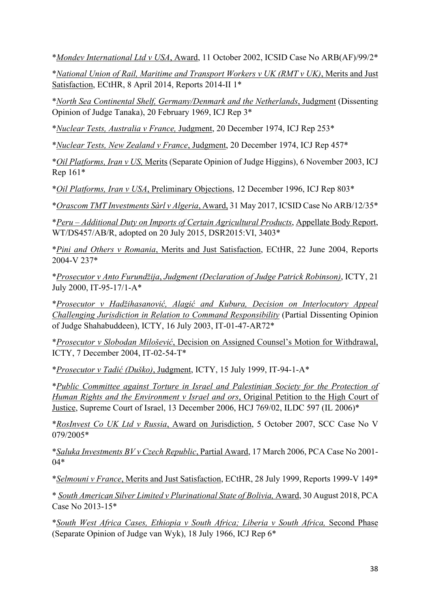\**Mondev International Ltd v USA*, Award, 11 October 2002, ICSID Case No ARB(AF)/99/2\*

\**National Union of Rail, Maritime and Transport Workers v UK (RMT v UK)*, Merits and Just Satisfaction, ECtHR, 8 April 2014, Reports 2014-II 1\*

\**North Sea Continental Shelf, Germany/Denmark and the Netherlands*, Judgment (Dissenting Opinion of Judge Tanaka), 20 February 1969, ICJ Rep 3\*

\**Nuclear Tests, Australia v France,* Judgment, 20 December 1974, ICJ Rep 253\*

\**Nuclear Tests, New Zealand v France*, Judgment, 20 December 1974, ICJ Rep 457\*

\**Oil Platforms, Iran v US,* Merits (Separate Opinion of Judge Higgins), 6 November 2003, ICJ Rep 161\*

\**Oil Platforms, Iran v USA*, Preliminary Objections, 12 December 1996, ICJ Rep 803\*

\**Orascom TMT Investments Sàrl v Algeria*, Award, 31 May 2017, ICSID Case No ARB/12/35\*

\**Peru – Additional Duty on Imports of Certain Agricultural Products*, Appellate Body Report, WT/DS457/AB/R, adopted on 20 July 2015, DSR2015:VI, 3403\*

\**Pini and Others v Romania*, Merits and Just Satisfaction, ECtHR, 22 June 2004, Reports 2004-V 237\*

\**Prosecutor v Anto Furundžija*, *Judgment (Declaration of Judge Patrick Robinson)*, ICTY, 21 July 2000, IT-95-17/1-A\*

\**Prosecutor v Hadžihasanović, Alagić and Kubura, Decision on Interlocutory Appeal Challenging Jurisdiction in Relation to Command Responsibility* (Partial Dissenting Opinion of Judge Shahabuddeen), ICTY, 16 July 2003, IT-01-47-AR72\*

\**Prosecutor v Slobodan Milošević*, Decision on Assigned Counsel's Motion for Withdrawal, ICTY, 7 December 2004, IT-02-54-T\*

\**Prosecutor v Tadić (Duško)*, Judgment, ICTY, 15 July 1999, IT-94-1-A\*

\**Public Committee against Torture in Israel and Palestinian Society for the Protection of Human Rights and the Environment v Israel and ors*, Original Petition to the High Court of Justice, Supreme Court of Israel, 13 December 2006, HCJ 769/02, ILDC 597 (IL 2006)\*

\**RosInvest Co UK Ltd v Russia*, Award on Jurisdiction, 5 October 2007, SCC Case No V 079/2005\*

\**Saluka Investments BV v Czech Republic*, Partial Award, 17 March 2006, PCA Case No 2001- 04\*

\**Selmouni v France*, Merits and Just Satisfaction, ECtHR, 28 July 1999, Reports 1999-V 149\*

\* *South American Silver Limited v Plurinational State of Bolivia,* Award, 30 August 2018, PCA Case No 2013-15\*

\**South West Africa Cases, Ethiopia v South Africa; Liberia v South Africa,* Second Phase (Separate Opinion of Judge van Wyk), 18 July 1966, ICJ Rep 6\*